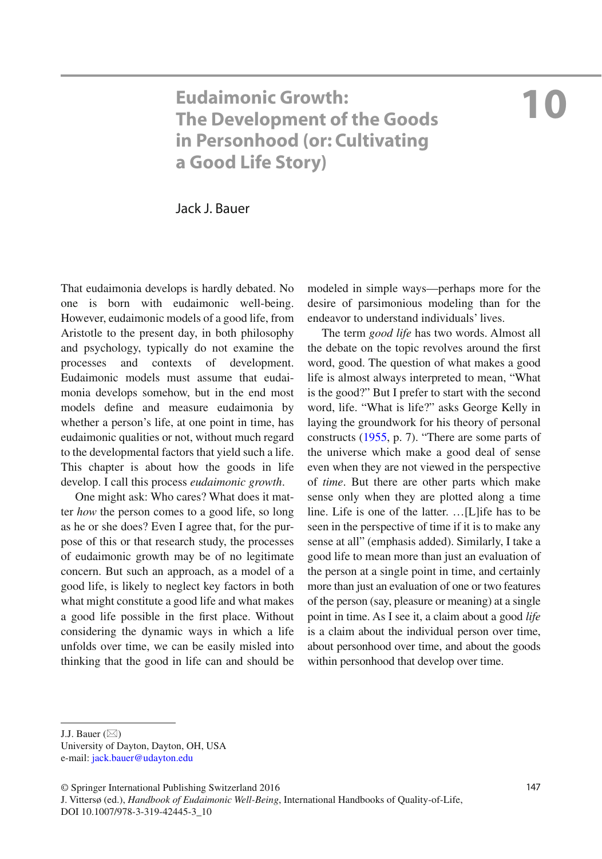## **Eudaimonic Growth: The Development of the Goods in Personhood (or: Cultivating a Good Life Story)**

# **10**

## Jack J. Bauer

 That eudaimonia develops is hardly debated. No one is born with eudaimonic well-being. However, eudaimonic models of a good life, from Aristotle to the present day, in both philosophy and psychology, typically do not examine the processes and contexts of development. Eudaimonic models must assume that eudaimonia develops somehow, but in the end most models define and measure eudaimonia by whether a person's life, at one point in time, has eudaimonic qualities or not, without much regard to the developmental factors that yield such a life. This chapter is about how the goods in life develop. I call this process *eudaimonic growth* .

 One might ask: Who cares? What does it matter *how* the person comes to a good life, so long as he or she does? Even I agree that, for the purpose of this or that research study, the processes of eudaimonic growth may be of no legitimate concern. But such an approach, as a model of a good life, is likely to neglect key factors in both what might constitute a good life and what makes a good life possible in the first place. Without considering the dynamic ways in which a life unfolds over time, we can be easily misled into thinking that the good in life can and should be

modeled in simple ways—perhaps more for the desire of parsimonious modeling than for the endeavor to understand individuals' lives.

 The term *good life* has two words. Almost all the debate on the topic revolves around the first word, good. The question of what makes a good life is almost always interpreted to mean, "What is the good?" But I prefer to start with the second word, life. "What is life?" asks George Kelly in laying the groundwork for his theory of personal constructs  $(1955, p. 7)$ . "There are some parts of the universe which make a good deal of sense even when they are not viewed in the perspective of *time*. But there are other parts which make sense only when they are plotted along a time line. Life is one of the latter. …[L]ife has to be seen in the perspective of time if it is to make any sense at all" (emphasis added). Similarly, I take a good life to mean more than just an evaluation of the person at a single point in time, and certainly more than just an evaluation of one or two features of the person (say, pleasure or meaning) at a single point in time. As I see it, a claim about a good *life* is a claim about the individual person over time, about personhood over time, and about the goods within personhood that develop over time.

© Springer International Publishing Switzerland 2016 147

J. Vittersø (ed.), *Handbook of Eudaimonic Well-Being*, International Handbooks of Quality-of-Life, DOI 10.1007/978-3-319-42445-3\_10

J.J. Bauer  $(\boxtimes)$ 

University of Dayton, Dayton, OH, USA e-mail: [jack.bauer@udayton.edu](mailto:jack.bauer@udayton.edu)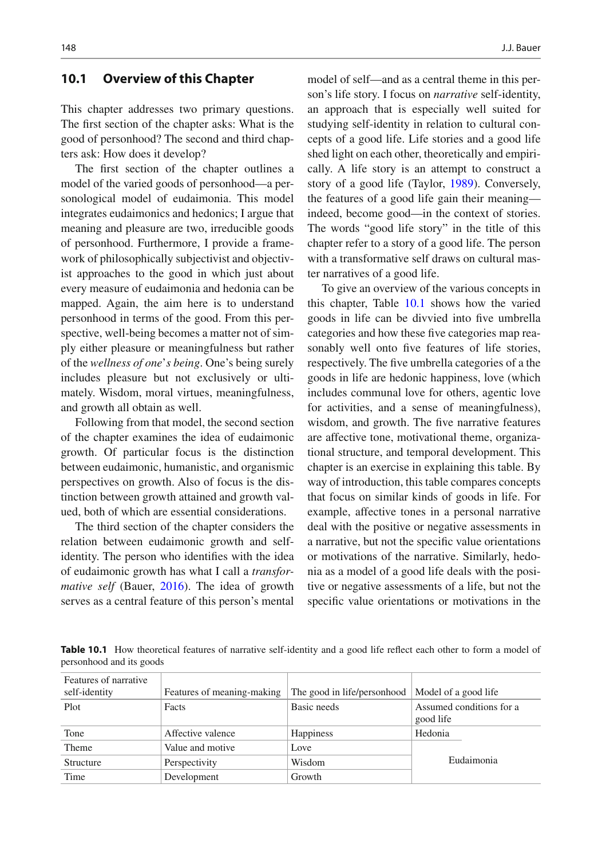## **10.1 Overview of this Chapter**

 This chapter addresses two primary questions. The first section of the chapter asks: What is the good of personhood? The second and third chapters ask: How does it develop?

The first section of the chapter outlines a model of the varied goods of personhood—a personological model of eudaimonia. This model integrates eudaimonics and hedonics; I argue that meaning and pleasure are two, irreducible goods of personhood. Furthermore, I provide a framework of philosophically subjectivist and objectivist approaches to the good in which just about every measure of eudaimonia and hedonia can be mapped. Again, the aim here is to understand personhood in terms of the good. From this perspective, well-being becomes a matter not of simply either pleasure or meaningfulness but rather of the *wellness of one*'s being. One's being surely includes pleasure but not exclusively or ultimately. Wisdom, moral virtues, meaningfulness, and growth all obtain as well.

 Following from that model, the second section of the chapter examines the idea of eudaimonic growth. Of particular focus is the distinction between eudaimonic, humanistic, and organismic perspectives on growth. Also of focus is the distinction between growth attained and growth valued, both of which are essential considerations.

 The third section of the chapter considers the relation between eudaimonic growth and selfidentity. The person who identifies with the idea of eudaimonic growth has what I call a *transformative self* (Bauer, [2016](#page-23-0)). The idea of growth serves as a central feature of this person's mental

model of self—and as a central theme in this person's life story. I focus on *narrative* self-identity, an approach that is especially well suited for studying self-identity in relation to cultural concepts of a good life. Life stories and a good life shed light on each other, theoretically and empirically. A life story is an attempt to construct a story of a good life (Taylor, [1989](#page-27-0)). Conversely, the features of a good life gain their meaning indeed, become good—in the context of stories. The words "good life story" in the title of this chapter refer to a story of a good life. The person with a transformative self draws on cultural master narratives of a good life.

 To give an overview of the various concepts in this chapter, Table [10.1](#page-1-0) shows how the varied goods in life can be divvied into five umbrella categories and how these five categories map reasonably well onto five features of life stories, respectively. The five umbrella categories of a the goods in life are hedonic happiness, love (which includes communal love for others, agentic love for activities, and a sense of meaningfulness), wisdom, and growth. The five narrative features are affective tone, motivational theme, organizational structure, and temporal development. This chapter is an exercise in explaining this table. By way of introduction, this table compares concepts that focus on similar kinds of goods in life. For example, affective tones in a personal narrative deal with the positive or negative assessments in a narrative, but not the specific value orientations or motivations of the narrative. Similarly, hedonia as a model of a good life deals with the positive or negative assessments of a life, but not the specific value orientations or motivations in the

<span id="page-1-0"></span>**Table 10.1** How theoretical features of narrative self-identity and a good life reflect each other to form a model of personhood and its goods

| Features of narrative |                            |                             |                                       |
|-----------------------|----------------------------|-----------------------------|---------------------------------------|
| self-identity         | Features of meaning-making | The good in life/personhood | Model of a good life                  |
| Plot                  | Facts                      | Basic needs                 | Assumed conditions for a<br>good life |
| Tone                  | Affective valence          | <b>Happiness</b>            | Hedonia                               |
| Theme                 | Value and motive           | Love                        |                                       |
| Structure             | Perspectivity              | Wisdom                      | Eudaimonia                            |
| Time                  | Development                | Growth                      |                                       |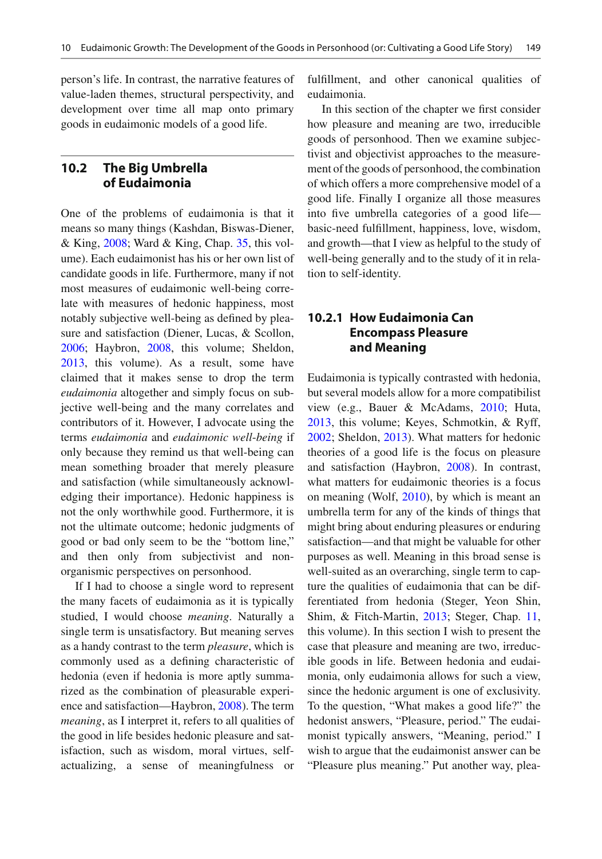person's life. In contrast, the narrative features of value-laden themes, structural perspectivity, and development over time all map onto primary goods in eudaimonic models of a good life.

## **10.2 The Big Umbrella of Eudaimonia**

 One of the problems of eudaimonia is that it means so many things (Kashdan, Biswas-Diener,  $&$  King, 2008; Ward  $&$  King, Chap. [35](SpringerLink:ChapterTarget), this volume). Each eudaimonist has his or her own list of candidate goods in life. Furthermore, many if not most measures of eudaimonic well-being correlate with measures of hedonic happiness, most notably subjective well-being as defined by pleasure and satisfaction (Diener, Lucas, & Scollon, [2006](#page-24-0); Haybron, [2008](#page-24-1), this volume; Sheldon, [2013](#page-26-0) , this volume). As a result, some have claimed that it makes sense to drop the term *eudaimonia* altogether and simply focus on subjective well-being and the many correlates and contributors of it. However, I advocate using the terms *eudaimonia* and *eudaimonic well* - *being* if only because they remind us that well-being can mean something broader that merely pleasure and satisfaction (while simultaneously acknowledging their importance). Hedonic happiness is not the only worthwhile good. Furthermore, it is not the ultimate outcome; hedonic judgments of good or bad only seem to be the "bottom line," and then only from subjectivist and nonorganismic perspectives on personhood.

 If I had to choose a single word to represent the many facets of eudaimonia as it is typically studied, I would choose *meaning*. Naturally a single term is unsatisfactory. But meaning serves as a handy contrast to the term *pleasure* , which is commonly used as a defining characteristic of hedonia (even if hedonia is more aptly summarized as the combination of pleasurable experience and satisfaction—Haybron, 2008). The term *meaning*, as I interpret it, refers to all qualities of the good in life besides hedonic pleasure and satisfaction, such as wisdom, moral virtues, selfactualizing, a sense of meaningfulness or

fulfillment, and other canonical qualities of eudaimonia.

In this section of the chapter we first consider how pleasure and meaning are two, irreducible goods of personhood. Then we examine subjectivist and objectivist approaches to the measurement of the goods of personhood, the combination of which offers a more comprehensive model of a good life. Finally I organize all those measures into five umbrella categories of a good life basic-need fulfillment, happiness, love, wisdom, and growth—that I view as helpful to the study of well-being generally and to the study of it in relation to self-identity.

## **10.2.1 How Eudaimonia Can Encompass Pleasure and Meaning**

 Eudaimonia is typically contrasted with hedonia, but several models allow for a more compatibilist view (e.g., Bauer & McAdams, 2010; Huta, [2013 ,](#page-24-2) this volume; Keyes, Schmotkin, & Ryff, 2002; Sheldon, 2013). What matters for hedonic theories of a good life is the focus on pleasure and satisfaction (Haybron, 2008). In contrast, what matters for eudaimonic theories is a focus on meaning (Wolf,  $2010$ ), by which is meant an umbrella term for any of the kinds of things that might bring about enduring pleasures or enduring satisfaction—and that might be valuable for other purposes as well. Meaning in this broad sense is well-suited as an overarching, single term to capture the qualities of eudaimonia that can be differentiated from hedonia (Steger, Yeon Shin, Shim, & Fitch-Martin, [2013](#page-26-1); Steger, Chap. [11](SpringerLink:ChapterTarget), this volume). In this section I wish to present the case that pleasure and meaning are two, irreducible goods in life. Between hedonia and eudaimonia, only eudaimonia allows for such a view, since the hedonic argument is one of exclusivity. To the question, "What makes a good life?" the hedonist answers, "Pleasure, period." The eudaimonist typically answers, "Meaning, period." I wish to argue that the eudaimonist answer can be "Pleasure plus meaning." Put another way, plea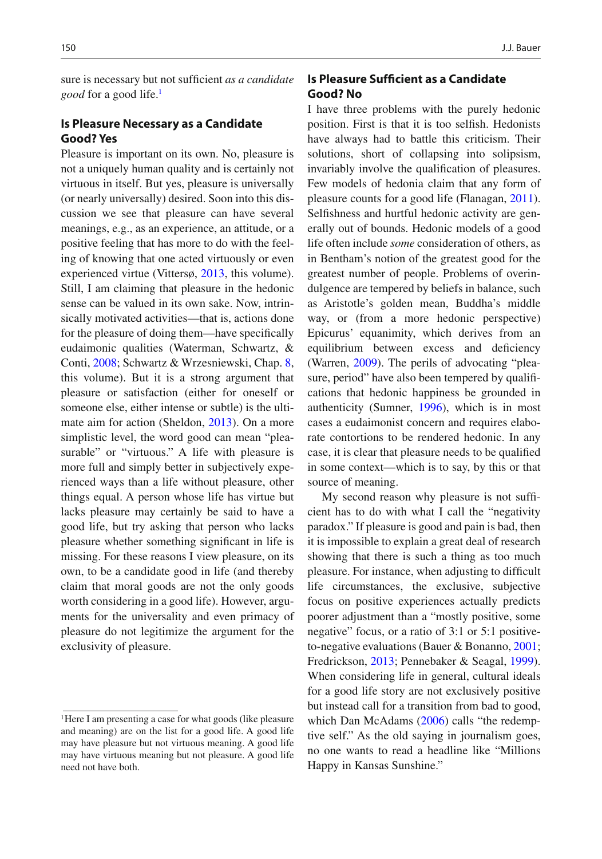sure is necessary but not sufficient *as a candidate good* for a good life.<sup>1</sup>

## **Is Pleasure Necessary as a Candidate Good? Yes**

 Pleasure is important on its own. No, pleasure is not a uniquely human quality and is certainly not virtuous in itself. But yes, pleasure is universally (or nearly universally) desired. Soon into this discussion we see that pleasure can have several meanings, e.g., as an experience, an attitude, or a positive feeling that has more to do with the feeling of knowing that one acted virtuously or even experienced virtue (Vittersø, [2013](#page-27-2), this volume). Still, I am claiming that pleasure in the hedonic sense can be valued in its own sake. Now, intrinsically motivated activities—that is, actions done for the pleasure of doing them—have specifically eudaimonic qualities (Waterman, Schwartz, & Conti, [2008](#page-27-3); Schwartz & Wrzesniewski, Chap. [8](SpringerLink:ChapterTarget), this volume). But it is a strong argument that pleasure or satisfaction (either for oneself or someone else, either intense or subtle) is the ultimate aim for action (Sheldon, 2013). On a more simplistic level, the word good can mean "pleasurable" or "virtuous." A life with pleasure is more full and simply better in subjectively experienced ways than a life without pleasure, other things equal. A person whose life has virtue but lacks pleasure may certainly be said to have a good life, but try asking that person who lacks pleasure whether something significant in life is missing. For these reasons I view pleasure, on its own, to be a candidate good in life (and thereby claim that moral goods are not the only goods worth considering in a good life). However, arguments for the universality and even primacy of pleasure do not legitimize the argument for the exclusivity of pleasure.

## **Is Pleasure Sufficient as a Candidate Good? No**

 I have three problems with the purely hedonic position. First is that it is too selfish. Hedonists have always had to battle this criticism. Their solutions, short of collapsing into solipsism, invariably involve the qualification of pleasures. Few models of hedonia claim that any form of pleasure counts for a good life (Flanagan, 2011). Selfishness and hurtful hedonic activity are generally out of bounds. Hedonic models of a good life often include *some* consideration of others, as in Bentham's notion of the greatest good for the greatest number of people. Problems of overindulgence are tempered by beliefs in balance, such as Aristotle's golden mean, Buddha's middle way, or (from a more hedonic perspective) Epicurus' equanimity, which derives from an equilibrium between excess and deficiency (Warren, [2009](#page-27-4)). The perils of advocating "pleasure, period" have also been tempered by qualifications that hedonic happiness be grounded in authenticity (Sumner, 1996), which is in most cases a eudaimonist concern and requires elaborate contortions to be rendered hedonic. In any case, it is clear that pleasure needs to be qualified in some context—which is to say, by this or that source of meaning.

My second reason why pleasure is not sufficient has to do with what I call the "negativity paradox." If pleasure is good and pain is bad, then it is impossible to explain a great deal of research showing that there is such a thing as too much pleasure. For instance, when adjusting to difficult life circumstances, the exclusive, subjective focus on positive experiences actually predicts poorer adjustment than a "mostly positive, some negative" focus, or a ratio of 3:1 or 5:1 positiveto-negative evaluations (Bauer & Bonanno, 2001; Fredrickson, 2013; Pennebaker & Seagal, 1999). When considering life in general, cultural ideals for a good life story are not exclusively positive but instead call for a transition from bad to good, which Dan McAdams  $(2006)$  calls "the redemptive self." As the old saying in journalism goes, no one wants to read a headline like "Millions Happy in Kansas Sunshine."

<span id="page-3-0"></span><sup>1</sup> Here I am presenting a case for what goods (like pleasure and meaning) are on the list for a good life. A good life may have pleasure but not virtuous meaning. A good life may have virtuous meaning but not pleasure. A good life need not have both.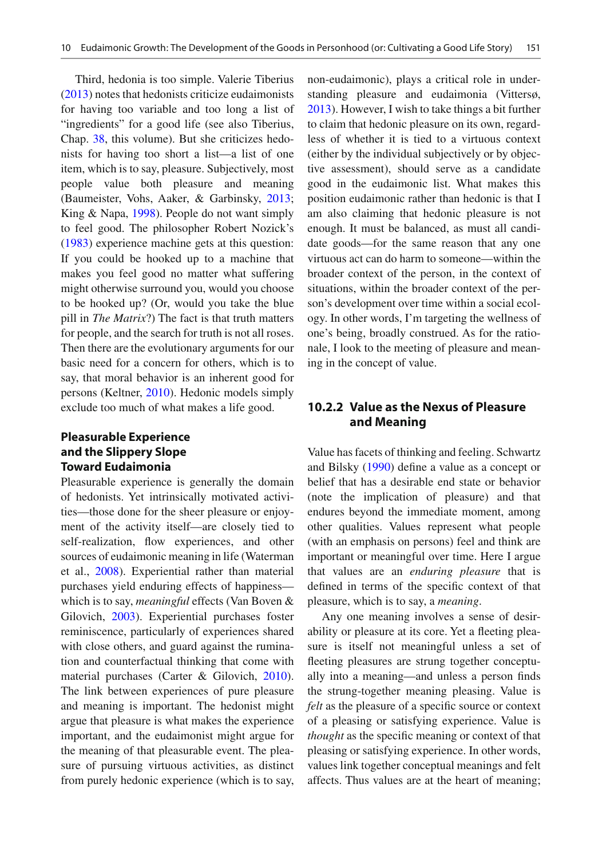Third, hedonia is too simple. Valerie Tiberius [\( 2013](#page-27-5) ) notes that hedonists criticize eudaimonists for having too variable and too long a list of "ingredients" for a good life (see also Tiberius, Chap. [38,](SpringerLink:ChapterTarget) this volume). But she criticizes hedonists for having too short a list—a list of one item, which is to say, pleasure. Subjectively, most people value both pleasure and meaning (Baumeister, Vohs, Aaker, & Garbinsky, 2013; King & Napa, 1998). People do not want simply to feel good. The philosopher Robert Nozick's [\( 1983](#page-25-5) ) experience machine gets at this question: If you could be hooked up to a machine that makes you feel good no matter what suffering might otherwise surround you, would you choose to be hooked up? (Or, would you take the blue pill in *The Matrix*?) The fact is that truth matters for people, and the search for truth is not all roses. Then there are the evolutionary arguments for our basic need for a concern for others, which is to say, that moral behavior is an inherent good for persons (Keltner, [2010](#page-25-6)). Hedonic models simply exclude too much of what makes a life good.

#### **Pleasurable Experience and the Slippery Slope Toward Eudaimonia**

 Pleasurable experience is generally the domain of hedonists. Yet intrinsically motivated activities—those done for the sheer pleasure or enjoyment of the activity itself—are closely tied to self-realization, flow experiences, and other sources of eudaimonic meaning in life (Waterman et al., 2008). Experiential rather than material purchases yield enduring effects of happiness which is to say, *meaningful* effects (Van Boven & Gilovich, 2003). Experiential purchases foster reminiscence, particularly of experiences shared with close others, and guard against the rumination and counterfactual thinking that come with material purchases (Carter & Gilovich, 2010). The link between experiences of pure pleasure and meaning is important. The hedonist might argue that pleasure is what makes the experience important, and the eudaimonist might argue for the meaning of that pleasurable event. The pleasure of pursuing virtuous activities, as distinct from purely hedonic experience (which is to say,

non-eudaimonic), plays a critical role in understanding pleasure and eudaimonia (Vittersø, [2013 \)](#page-27-2). However, I wish to take things a bit further to claim that hedonic pleasure on its own, regardless of whether it is tied to a virtuous context (either by the individual subjectively or by objective assessment), should serve as a candidate good in the eudaimonic list. What makes this position eudaimonic rather than hedonic is that I am also claiming that hedonic pleasure is not enough. It must be balanced, as must all candidate goods—for the same reason that any one virtuous act can do harm to someone—within the broader context of the person, in the context of situations, within the broader context of the person's development over time within a social ecology. In other words, I'm targeting the wellness of one's being, broadly construed. As for the rationale, I look to the meeting of pleasure and meaning in the concept of value.

## **10.2.2 Value as the Nexus of Pleasure and Meaning**

 Value has facets of thinking and feeling. Schwartz and Bilsky (1990) define a value as a concept or belief that has a desirable end state or behavior (note the implication of pleasure) and that endures beyond the immediate moment, among other qualities. Values represent what people (with an emphasis on persons) feel and think are important or meaningful over time. Here I argue that values are an *enduring pleasure* that is defined in terms of the specific context of that pleasure, which is to say, a *meaning* .

 Any one meaning involves a sense of desirability or pleasure at its core. Yet a fleeting pleasure is itself not meaningful unless a set of fleeting pleasures are strung together conceptually into a meaning—and unless a person finds the strung-together meaning pleasing. Value is *felt* as the pleasure of a specific source or context of a pleasing or satisfying experience. Value is *thought* as the specific meaning or context of that pleasing or satisfying experience. In other words, values link together conceptual meanings and felt affects. Thus values are at the heart of meaning;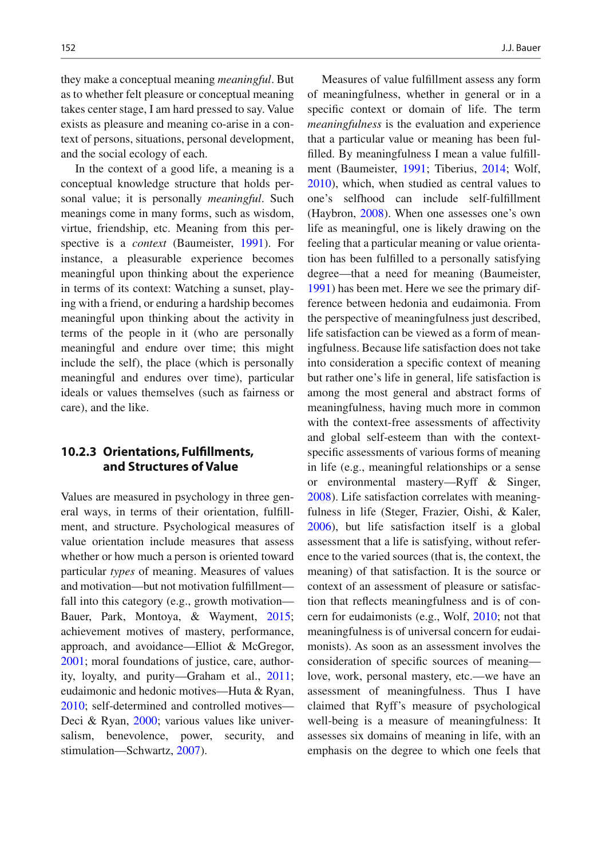they make a conceptual meaning *meaningful* . But as to whether felt pleasure or conceptual meaning takes center stage, I am hard pressed to say. Value exists as pleasure and meaning co-arise in a context of persons, situations, personal development, and the social ecology of each.

 In the context of a good life, a meaning is a conceptual knowledge structure that holds personal value; it is personally *meaningful*. Such meanings come in many forms, such as wisdom, virtue, friendship, etc. Meaning from this perspective is a *context* (Baumeister, 1991). For instance, a pleasurable experience becomes meaningful upon thinking about the experience in terms of its context: Watching a sunset, playing with a friend, or enduring a hardship becomes meaningful upon thinking about the activity in terms of the people in it (who are personally meaningful and endure over time; this might include the self), the place (which is personally meaningful and endures over time), particular ideals or values themselves (such as fairness or care), and the like.

#### **10.2.3 Orientations, Fulfillments, and Structures of Value**

 Values are measured in psychology in three general ways, in terms of their orientation, fulfillment, and structure. Psychological measures of value orientation include measures that assess whether or how much a person is oriented toward particular *types* of meaning. Measures of values and motivation—but not motivation fulfillment fall into this category (e.g., growth motivation— Bauer, Park, Montoya, & Wayment, 2015; achievement motives of mastery, performance, approach, and avoidance—Elliot & McGregor, [2001](#page-24-9); moral foundations of justice, care, authority, loyalty, and purity—Graham et al., 2011; eudaimonic and hedonic motives—Huta & Ryan, [2010](#page-24-11); self-determined and controlled motives— Deci & Ryan, 2000; various values like universalism, benevolence, power, security, and stimulation—Schwartz, [2007](#page-26-5)).

Measures of value fulfillment assess any form of meaningfulness, whether in general or in a specific context or domain of life. The term *meaningfulness* is the evaluation and experience that a particular value or meaning has been fulfilled. By meaningfulness I mean a value fulfill-ment (Baumeister, 1991; Tiberius, [2014](#page-27-7); Wolf,  $2010$ , which, when studied as central values to one's selfhood can include self-fulfillment (Haybron,  $2008$ ). When one assesses one's own life as meaningful, one is likely drawing on the feeling that a particular meaning or value orientation has been fulfilled to a personally satisfying degree—that a need for meaning (Baumeister, [1991 \)](#page-24-7) has been met. Here we see the primary difference between hedonia and eudaimonia. From the perspective of meaningfulness just described, life satisfaction can be viewed as a form of meaningfulness. Because life satisfaction does not take into consideration a specific context of meaning but rather one's life in general, life satisfaction is among the most general and abstract forms of meaningfulness, having much more in common with the context-free assessments of affectivity and global self-esteem than with the contextspecific assessments of various forms of meaning in life (e.g., meaningful relationships or a sense or environmental mastery—Ryff & Singer, 2008). Life satisfaction correlates with meaningfulness in life (Steger, Frazier, Oishi, & Kaler, 2006), but life satisfaction itself is a global assessment that a life is satisfying, without reference to the varied sources (that is, the context, the meaning) of that satisfaction. It is the source or context of an assessment of pleasure or satisfaction that reflects meaningfulness and is of concern for eudaimonists (e.g., Wolf, 2010; not that meaningfulness is of universal concern for eudaimonists). As soon as an assessment involves the consideration of specific sources of meaning love, work, personal mastery, etc.—we have an assessment of meaningfulness. Thus I have claimed that Ryff's measure of psychological well-being is a measure of meaningfulness: It assesses six domains of meaning in life, with an emphasis on the degree to which one feels that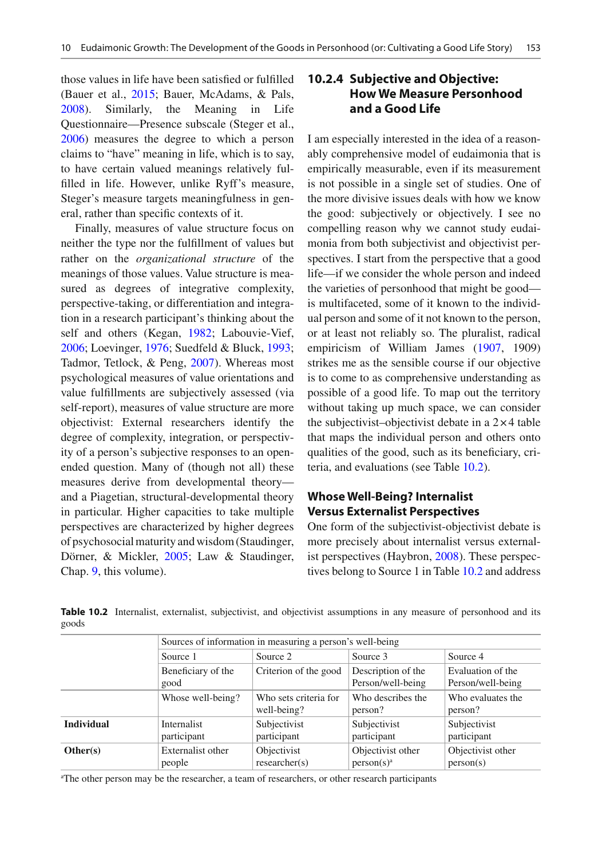those values in life have been satisfied or fulfilled (Bauer et al., [2015](#page-24-8); Bauer, McAdams, & Pals, [2008](#page-23-3)). Similarly, the Meaning in Life Questionnaire—Presence subscale (Steger et al., [2006](#page-26-7)) measures the degree to which a person claims to "have" meaning in life, which is to say, to have certain valued meanings relatively fulfilled in life. However, unlike Ryff's measure, Steger's measure targets meaningfulness in general, rather than specific contexts of it.

 Finally, measures of value structure focus on neither the type nor the fulfillment of values but rather on the *organizational structure* of the meanings of those values. Value structure is measured as degrees of integrative complexity, perspective- taking, or differentiation and integration in a research participant's thinking about the self and others (Kegan, 1982; Labouvie-Vief, [2006](#page-25-8); Loevinger, 1976; Suedfeld & Bluck, 1993; Tadmor, Tetlock, & Peng, 2007). Whereas most psychological measures of value orientations and value fulfillments are subjectively assessed (via self-report), measures of value structure are more objectivist: External researchers identify the degree of complexity, integration, or perspectivity of a person's subjective responses to an openended question. Many of (though not all) these measures derive from developmental theory and a Piagetian, structural-developmental theory in particular. Higher capacities to take multiple perspectives are characterized by higher degrees of psychosocial maturity and wisdom (Staudinger, Dörner, & Mickler, 2005; Law & Staudinger, Chap. [9](SpringerLink:ChapterTarget), this volume).

## **10.2.4 Subjective and Objective: How We Measure Personhood and a Good Life**

 I am especially interested in the idea of a reasonably comprehensive model of eudaimonia that is empirically measurable, even if its measurement is not possible in a single set of studies. One of the more divisive issues deals with how we know the good: subjectively or objectively. I see no compelling reason why we cannot study eudaimonia from both subjectivist and objectivist perspectives. I start from the perspective that a good life—if we consider the whole person and indeed the varieties of personhood that might be good is multifaceted, some of it known to the individual person and some of it not known to the person, or at least not reliably so. The pluralist, radical empiricism of William James (1907, 1909) strikes me as the sensible course if our objective is to come to as comprehensive understanding as possible of a good life. To map out the territory without taking up much space, we can consider the subjectivist–objectivist debate in a  $2 \times 4$  table that maps the individual person and others onto qualities of the good, such as its beneficiary, criteria, and evaluations (see Table 10.2).

## **Whose Well-Being? Internalist Versus Externalist Perspectives**

 One form of the subjectivist-objectivist debate is more precisely about internalist versus externalist perspectives (Haybron, 2008). These perspectives belong to Source 1 in Table [10.2](#page-6-0) and address

|                   |                             | Sources of information in measuring a person's well-being |                                             |                                        |  |  |
|-------------------|-----------------------------|-----------------------------------------------------------|---------------------------------------------|----------------------------------------|--|--|
|                   | Source 1                    | Source 2                                                  | Source 3                                    | Source 4                               |  |  |
|                   | Beneficiary of the<br>good  | Criterion of the good                                     | Description of the<br>Person/well-being     | Evaluation of the<br>Person/well-being |  |  |
|                   | Whose well-being?           | Who sets criteria for<br>well-being?                      | Who describes the<br>person?                | Who evaluates the<br>person?           |  |  |
| <b>Individual</b> | Internalist<br>participant  | Subjectivist<br>participant                               | Subjectivist<br>participant                 | Subjectivist<br>participant            |  |  |
| Other(s)          | Externalist other<br>people | Objectivist<br>researcher(s)                              | Objectivist other<br>person(s) <sup>a</sup> | Objectivist other<br>person(s)         |  |  |

<span id="page-6-0"></span> **Table 10.2** Internalist, externalist, subjectivist, and objectivist assumptions in any measure of personhood and its goods

a The other person may be the researcher, a team of researchers, or other research participants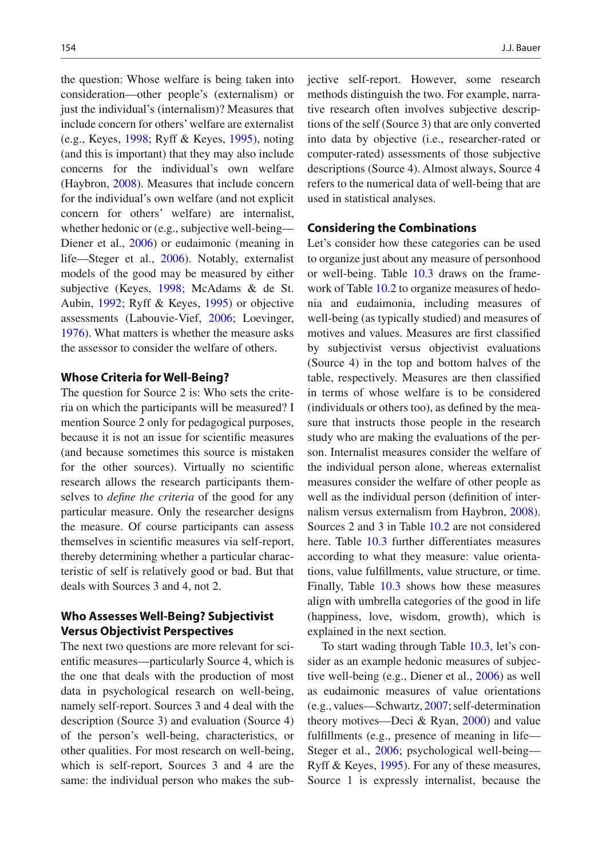the question: Whose welfare is being taken into consideration—other people's (externalism) or just the individual's (internalism)? Measures that include concern for others' welfare are externalist (e.g., Keyes,  $1998$ ; Ryff & Keyes,  $1995$ ), noting (and this is important) that they may also include concerns for the individual's own welfare (Haybron, 2008). Measures that include concern for the individual's own welfare (and not explicit concern for others' welfare) are internalist, whether hedonic or (e.g., subjective well-being— Diener et al., [2006](#page-24-0)) or eudaimonic (meaning in life—Steger et al., 2006). Notably, externalist models of the good may be measured by either subjective (Keyes, [1998](#page-25-11); McAdams & de St. Aubin,  $1992$ ; Ryff & Keyes,  $1995$ ) or objective assessments (Labouvie-Vief, [2006](#page-25-8); Loevinger, [1976](#page-25-9)). What matters is whether the measure asks the assessor to consider the welfare of others.

## **Whose Criteria for Well-Being?**

 The question for Source 2 is: Who sets the criteria on which the participants will be measured? I mention Source 2 only for pedagogical purposes, because it is not an issue for scientific measures (and because sometimes this source is mistaken for the other sources). Virtually no scientific research allows the research participants themselves to *define the criteria* of the good for any particular measure. Only the researcher designs the measure. Of course participants can assess themselves in scientific measures via self-report, thereby determining whether a particular characteristic of self is relatively good or bad. But that deals with Sources 3 and 4, not 2.

## **Who Assesses Well-Being? Subjectivist Versus Objectivist Perspectives**

 The next two questions are more relevant for scientific measures—particularly Source 4, which is the one that deals with the production of most data in psychological research on well-being, namely self-report. Sources 3 and 4 deal with the description (Source 3) and evaluation (Source 4) of the person's well-being, characteristics, or other qualities. For most research on well-being, which is self-report, Sources 3 and 4 are the same: the individual person who makes the subjective self-report. However, some research methods distinguish the two. For example, narrative research often involves subjective descriptions of the self (Source 3) that are only converted into data by objective (i.e., researcher-rated or computer-rated) assessments of those subjective descriptions (Source 4). Almost always, Source 4 refers to the numerical data of well-being that are used in statistical analyses.

#### **Considering the Combinations**

 Let's consider how these categories can be used to organize just about any measure of personhood or well-being. Table [10.3](#page-8-0) draws on the framework of Table [10.2](#page-6-0) to organize measures of hedonia and eudaimonia, including measures of well-being (as typically studied) and measures of motives and values. Measures are first classified by subjectivist versus objectivist evaluations (Source 4) in the top and bottom halves of the table, respectively. Measures are then classified in terms of whose welfare is to be considered (individuals or others too), as defined by the measure that instructs those people in the research study who are making the evaluations of the person. Internalist measures consider the welfare of the individual person alone, whereas externalist measures consider the welfare of other people as well as the individual person (definition of internalism versus externalism from Haybron, 2008). Sources 2 and 3 in Table [10.2](#page-6-0) are not considered here. Table [10.3](#page-8-0) further differentiates measures according to what they measure: value orientations, value fulfillments, value structure, or time. Finally, Table [10.3](#page-8-0) shows how these measures align with umbrella categories of the good in life (happiness, love, wisdom, growth), which is explained in the next section.

 To start wading through Table [10.3](#page-8-0) , let's consider as an example hedonic measures of subjective well-being (e.g., Diener et al.,  $2006$ ) as well as eudaimonic measures of value orientations (e.g., values—Schwartz, [2007](#page-26-5) ; self- determination theory motives—Deci  $& Ryan, 2000$  and value fulfillments (e.g., presence of meaning in life— Steger et al., 2006; psychological well-being— Ryff & Keyes, [1995](#page-26-11)). For any of these measures, Source 1 is expressly internalist, because the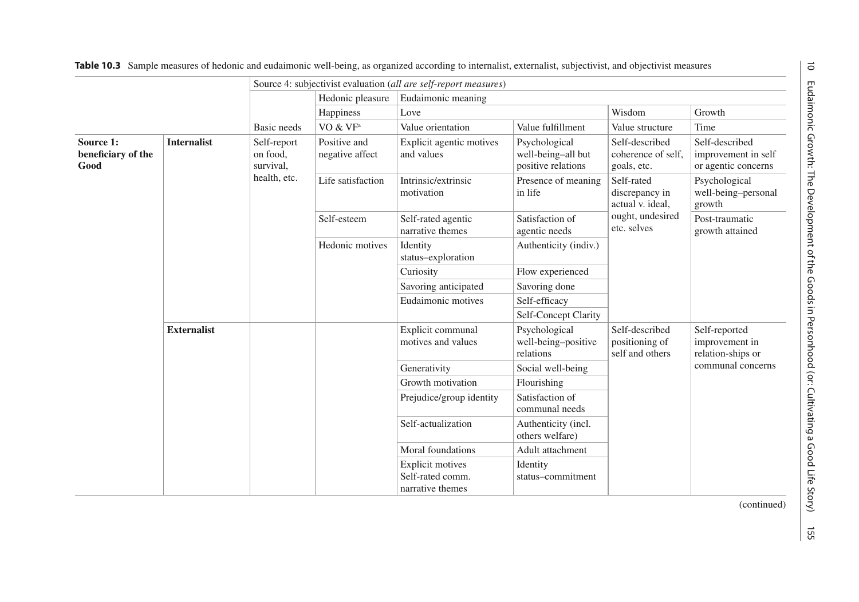<span id="page-8-0"></span>

|                                         |                    | Source 4: subjectivist evaluation (all are self-report measures) |                                 |                                                                 |                                                           |                                                                                     |                                                                           |
|-----------------------------------------|--------------------|------------------------------------------------------------------|---------------------------------|-----------------------------------------------------------------|-----------------------------------------------------------|-------------------------------------------------------------------------------------|---------------------------------------------------------------------------|
|                                         |                    |                                                                  | Hedonic pleasure                | Eudaimonic meaning                                              |                                                           |                                                                                     |                                                                           |
|                                         |                    |                                                                  | Happiness                       | Love                                                            |                                                           | Wisdom                                                                              | Growth                                                                    |
|                                         |                    | Basic needs                                                      | VO & VF <sup>a</sup>            | Value orientation                                               | Value fulfillment                                         | Value structure                                                                     | Time                                                                      |
| Source 1:<br>beneficiary of the<br>Good | <b>Internalist</b> | Self-report<br>on food,<br>survival,<br>health, etc.             | Positive and<br>negative affect | Explicit agentic motives<br>and values                          | Psychological<br>well-being-all but<br>positive relations | Self-described<br>coherence of self.<br>goals, etc.                                 | Self-described<br>improvement in self<br>or agentic concerns              |
|                                         |                    |                                                                  | Life satisfaction               | Intrinsic/extrinsic<br>motivation                               | Presence of meaning<br>in life                            | Self-rated<br>discrepancy in<br>actual v. ideal,<br>ought, undesired<br>etc. selves | Psychological<br>well-being-personal<br>growth                            |
|                                         |                    |                                                                  | Self-esteem                     | Self-rated agentic<br>narrative themes                          | Satisfaction of<br>agentic needs                          |                                                                                     | Post-traumatic<br>growth attained                                         |
|                                         |                    |                                                                  | Hedonic motives                 | Identity<br>status-exploration                                  | Authenticity (indiv.)                                     |                                                                                     |                                                                           |
|                                         |                    |                                                                  |                                 | Curiosity                                                       | Flow experienced                                          |                                                                                     |                                                                           |
|                                         |                    |                                                                  |                                 | Savoring anticipated                                            | Savoring done                                             |                                                                                     |                                                                           |
|                                         |                    |                                                                  |                                 | Eudaimonic motives                                              | Self-efficacy                                             |                                                                                     |                                                                           |
|                                         |                    |                                                                  |                                 |                                                                 | Self-Concept Clarity                                      |                                                                                     |                                                                           |
|                                         | <b>Externalist</b> |                                                                  |                                 | Explicit communal<br>motives and values                         | Psychological<br>well-being-positive<br>relations         | Self-described<br>positioning of<br>self and others                                 | Self-reported<br>improvement in<br>relation-ships or<br>communal concerns |
|                                         |                    |                                                                  |                                 | Generativity                                                    | Social well-being                                         |                                                                                     |                                                                           |
|                                         |                    |                                                                  |                                 | Growth motivation                                               | Flourishing                                               |                                                                                     |                                                                           |
|                                         |                    |                                                                  |                                 | Prejudice/group identity                                        | Satisfaction of<br>communal needs                         |                                                                                     |                                                                           |
|                                         |                    |                                                                  |                                 | Self-actualization                                              | Authenticity (incl.<br>others welfare)                    |                                                                                     |                                                                           |
|                                         |                    |                                                                  |                                 | Moral foundations                                               | Adult attachment                                          |                                                                                     |                                                                           |
|                                         |                    |                                                                  |                                 | <b>Explicit motives</b><br>Self-rated comm.<br>narrative themes | Identity<br>status-commitment                             |                                                                                     |                                                                           |

 **Table 10.3** Sample measures of hedonic and eudaimonic well-being, as organized according to internalist, externalist, subjectivist, and objectivist measures

 $\vec{\circ}$ 

(continued)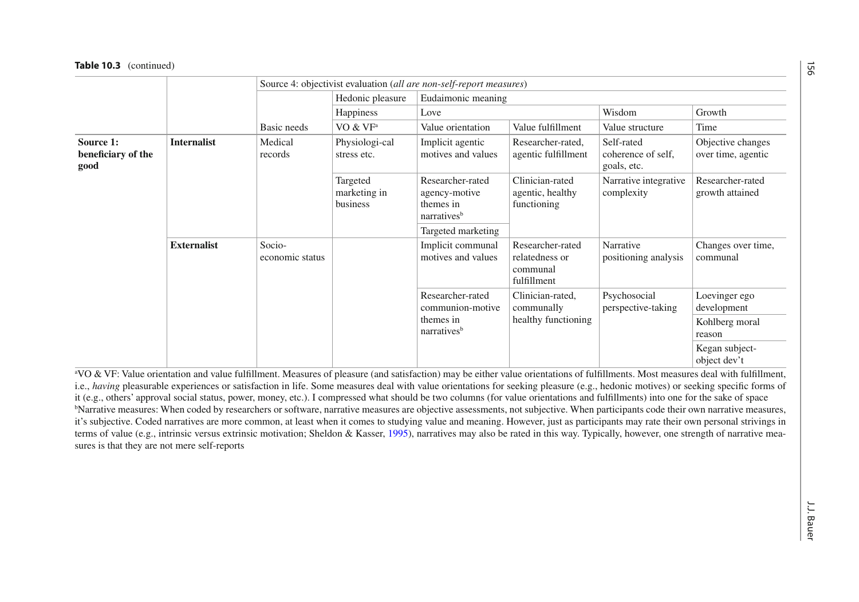## **Table 10.3** (continued)  $\begin{bmatrix} 1 & 1 \\ 0 & 0 \end{bmatrix}$

|                                         |                    | Source 4: objectivist evaluation (all are non-self-report measures) |                                      |                                                                           |                                                               |                                                 |                                         |
|-----------------------------------------|--------------------|---------------------------------------------------------------------|--------------------------------------|---------------------------------------------------------------------------|---------------------------------------------------------------|-------------------------------------------------|-----------------------------------------|
|                                         |                    |                                                                     | Hedonic pleasure                     | Eudaimonic meaning                                                        |                                                               |                                                 |                                         |
|                                         |                    |                                                                     | <b>Happiness</b>                     | Love                                                                      |                                                               | Wisdom                                          | Growth                                  |
|                                         |                    | Basic needs                                                         | $VO & VP^a$                          | Value orientation                                                         | Value fulfillment                                             | Value structure                                 | Time                                    |
| Source 1:<br>beneficiary of the<br>good | <b>Internalist</b> | Medical<br>records                                                  | Physiologi-cal<br>stress etc.        | Implicit agentic<br>motives and values                                    | Researcher-rated,<br>agentic fulfillment                      | Self-rated<br>coherence of self,<br>goals, etc. | Objective changes<br>over time, agentic |
|                                         |                    |                                                                     | Targeted<br>marketing in<br>business | Researcher-rated<br>agency-motive<br>themes in<br>narratives <sup>b</sup> | Clinician-rated<br>agentic, healthy<br>functioning            | Narrative integrative<br>complexity             | Researcher-rated<br>growth attained     |
|                                         |                    |                                                                     |                                      | Targeted marketing                                                        |                                                               |                                                 |                                         |
|                                         | <b>Externalist</b> | Socio-<br>economic status                                           |                                      | Implicit communal<br>motives and values                                   | Researcher-rated<br>relatedness or<br>communal<br>fulfillment | Narrative<br>positioning analysis               | Changes over time,<br>communal          |
|                                         |                    |                                                                     |                                      | Researcher-rated<br>communion-motive                                      | Clinician-rated,<br>communally                                | Psychosocial<br>perspective-taking              | Loevinger ego<br>development            |
|                                         |                    |                                                                     |                                      | themes in<br>narratives <sup>b</sup>                                      | healthy functioning                                           |                                                 | Kohlberg moral<br>reason                |
|                                         |                    |                                                                     |                                      |                                                                           |                                                               |                                                 | Kegan subject-<br>object dev't          |

<sup>a</sup>VO & VF: Value orientation and value fulfillment. Measures of pleasure (and satisfaction) may be either value orientations of fulfillments. Most measures deal with fulfillment, i.e., *having* pleasurable experiences or satisfaction in life. Some measures deal with value orientations for seeking pleasure (e.g., hedonic motives) or seeking specific forms of it (e.g., others' approval social status, power, money, etc.). I compressed what should be two columns (for value orientations and fulfillments) into one for the sake of space b Narrative measures: When coded by researchers or software, narrative measures are objective assessments, not subjective. When participants code their own narrative measures, it's subjective. Coded narratives are more common, at least when it comes to studying value and meaning. However, just as participants may rate their own personal strivings in terms of value (e.g., intrinsic versus extrinsic motivation; Sheldon & Kasser, [1995](#page-26-12)), narratives may also be rated in this way. Typically, however, one strength of narrative measures is that they are not mere self-reports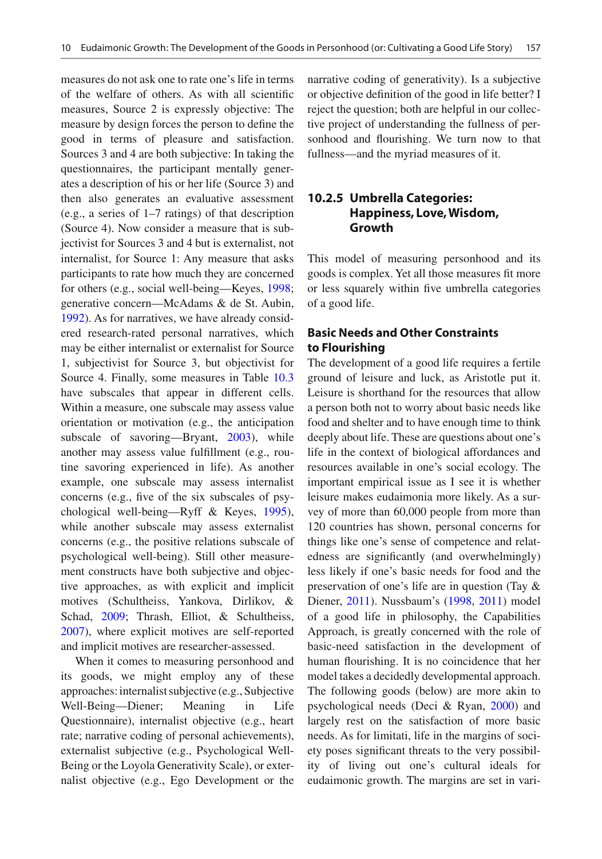measures do not ask one to rate one's life in terms of the welfare of others. As with all scientific measures, Source 2 is expressly objective: The measure by design forces the person to define the good in terms of pleasure and satisfaction. Sources 3 and 4 are both subjective: In taking the questionnaires, the participant mentally generates a description of his or her life (Source 3) and then also generates an evaluative assessment (e.g., a series of 1–7 ratings) of that description (Source 4). Now consider a measure that is subjectivist for Sources 3 and 4 but is externalist, not internalist, for Source 1: Any measure that asks participants to rate how much they are concerned for others (e.g., social well-being—Keyes, 1998; generative concern—McAdams & de St. Aubin, [1992](#page-25-12)). As for narratives, we have already considered research-rated personal narratives, which may be either internalist or externalist for Source 1, subjectivist for Source 3, but objectivist for Source 4. Finally, some measures in Table [10.3](#page-8-0) have subscales that appear in different cells. Within a measure, one subscale may assess value orientation or motivation (e.g., the anticipation subscale of savoring—Bryant, 2003), while another may assess value fulfillment (e.g., routine savoring experienced in life). As another example, one subscale may assess internalist concerns (e.g., five of the six subscales of psychological well-being—Ryff & Keyes, 1995), while another subscale may assess externalist concerns (e.g., the positive relations subscale of psychological well-being). Still other measurement constructs have both subjective and objective approaches, as with explicit and implicit motives (Schultheiss, Yankova, Dirlikov, & Schad, [2009](#page-26-13); Thrash, Elliot, & Schultheiss, [2007](#page-27-8)), where explicit motives are self-reported and implicit motives are researcher-assessed.

 When it comes to measuring personhood and its goods, we might employ any of these approaches: internalist subjective (e.g., Subjective Well-Being—Diener; Meaning in Life Questionnaire), internalist objective (e.g., heart rate; narrative coding of personal achievements), externalist subjective (e.g., Psychological Well-Being or the Loyola Generativity Scale), or externalist objective (e.g., Ego Development or the

narrative coding of generativity). Is a subjective or objective definition of the good in life better? I reject the question; both are helpful in our collective project of understanding the fullness of personhood and flourishing. We turn now to that fullness—and the myriad measures of it.

## **10.2.5 Umbrella Categories: Happiness, Love, Wisdom, Growth**

 This model of measuring personhood and its goods is complex. Yet all those measures fit more or less squarely within five umbrella categories of a good life.

## **Basic Needs and Other Constraints to Flourishing**

 The development of a good life requires a fertile ground of leisure and luck, as Aristotle put it. Leisure is shorthand for the resources that allow a person both not to worry about basic needs like food and shelter and to have enough time to think deeply about life. These are questions about one's life in the context of biological affordances and resources available in one's social ecology. The important empirical issue as I see it is whether leisure makes eudaimonia more likely. As a survey of more than 60,000 people from more than 120 countries has shown, personal concerns for things like one's sense of competence and relatedness are significantly (and overwhelmingly) less likely if one's basic needs for food and the preservation of one's life are in question (Tay & Diener, 2011). Nussbaum's (1998, 2011) model of a good life in philosophy, the Capabilities Approach, is greatly concerned with the role of basic-need satisfaction in the development of human flourishing. It is no coincidence that her model takes a decidedly developmental approach. The following goods (below) are more akin to psychological needs (Deci  $&$  Ryan, [2000](#page-24-12)) and largely rest on the satisfaction of more basic needs. As for limitati, life in the margins of society poses significant threats to the very possibility of living out one's cultural ideals for eudaimonic growth. The margins are set in vari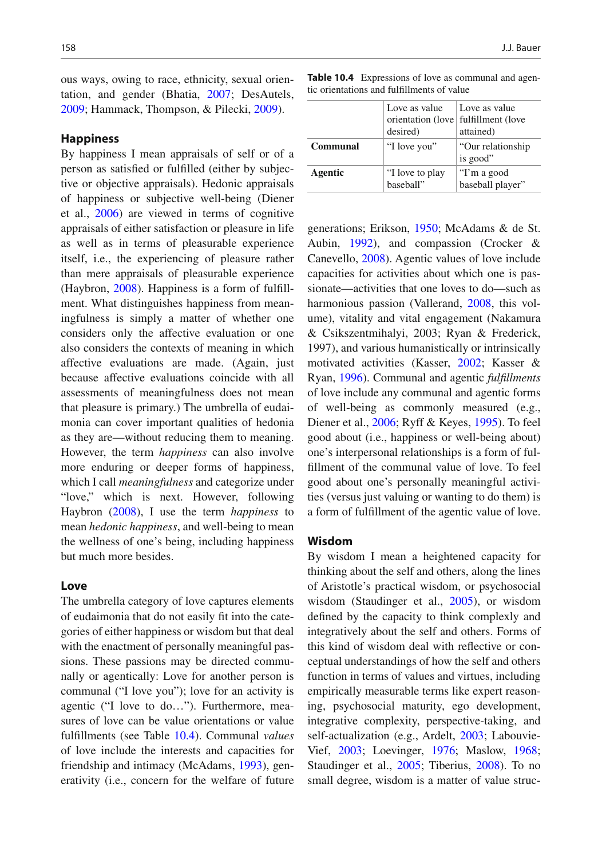ous ways, owing to race, ethnicity, sexual orientation, and gender (Bhatia, 2007; DesAutels, [2009](#page-24-15) ; Hammack, Thompson, & Pilecki, [2009](#page-24-16) ).

#### **Happiness**

 By happiness I mean appraisals of self or of a person as satisfied or fulfilled (either by subjective or objective appraisals). Hedonic appraisals of happiness or subjective well-being (Diener et al., 2006) are viewed in terms of cognitive appraisals of either satisfaction or pleasure in life as well as in terms of pleasurable experience itself, i.e., the experiencing of pleasure rather than mere appraisals of pleasurable experience (Haybron,  $2008$ ). Happiness is a form of fulfillment. What distinguishes happiness from meaningfulness is simply a matter of whether one considers only the affective evaluation or one also considers the contexts of meaning in which affective evaluations are made. (Again, just because affective evaluations coincide with all assessments of meaningfulness does not mean that pleasure is primary.) The umbrella of eudaimonia can cover important qualities of hedonia as they are—without reducing them to meaning. However, the term *happiness* can also involve more enduring or deeper forms of happiness, which I call *meaningfulness* and categorize under "love," which is next. However, following Haybron (2008), I use the term *happiness* to mean *hedonic happiness* , and well-being to mean the wellness of one's being, including happiness but much more besides.

#### **Love**

 The umbrella category of love captures elements of eudaimonia that do not easily fit into the categories of either happiness or wisdom but that deal with the enactment of personally meaningful passions. These passions may be directed communally or agentically: Love for another person is communal ("I love you"); love for an activity is agentic ("I love to do…"). Furthermore, measures of love can be value orientations or value fulfillments (see Table [10.4](#page-11-0)). Communal *values* of love include the interests and capacities for friendship and intimacy (McAdams, [1993](#page-25-14)), generativity (i.e., concern for the welfare of future

<span id="page-11-0"></span> **Table 10.4** Expressions of love as communal and agentic orientations and fulfillments of value

| <b>Communal</b> | Love as value<br>desired)<br>"I love you" | Love as value<br>orientation (love   fulfillment (love<br>attained)<br>"Our relationship" |
|-----------------|-------------------------------------------|-------------------------------------------------------------------------------------------|
|                 |                                           | is good"                                                                                  |
| Agentic         | "I love to play"                          | "I'm a good                                                                               |
|                 | baseball"                                 | baseball player"                                                                          |

generations; Erikson, [1950](#page-24-17); McAdams & de St. Aubin, 1992), and compassion (Crocker & Canevello, [2008](#page-24-18)). Agentic values of love include capacities for activities about which one is passionate—activities that one loves to do—such as harmonious passion (Vallerand, [2008](#page-27-9), this volume), vitality and vital engagement (Nakamura & Csikszentmihalyi, 2003; Ryan & Frederick, 1997), and various humanistically or intrinsically motivated activities (Kasser, 2002; Kasser & Ryan, [1996](#page-25-16)). Communal and agentic *fulfillments* of love include any communal and agentic forms of well-being as commonly measured (e.g., Diener et al., [2006](#page-24-0); Ryff & Keyes, 1995). To feel good about (i.e., happiness or well-being about) one's interpersonal relationships is a form of fulfillment of the communal value of love. To feel good about one's personally meaningful activities (versus just valuing or wanting to do them) is a form of fulfillment of the agentic value of love.

#### **Wisdom**

 By wisdom I mean a heightened capacity for thinking about the self and others, along the lines of Aristotle's practical wisdom, or psychosocial wisdom (Staudinger et al., [2005](#page-26-10)), or wisdom defined by the capacity to think complexly and integratively about the self and others. Forms of this kind of wisdom deal with reflective or conceptual understandings of how the self and others function in terms of values and virtues, including empirically measurable terms like expert reasoning, psychosocial maturity, ego development, integrative complexity, perspective-taking, and self-actualization (e.g., Ardelt, 2003; Labouvie-Vief, 2003; Loevinger, 1976; Maslow, 1968; Staudinger et al., [2005](#page-26-10); Tiberius, [2008](#page-27-10)). To no small degree, wisdom is a matter of value struc-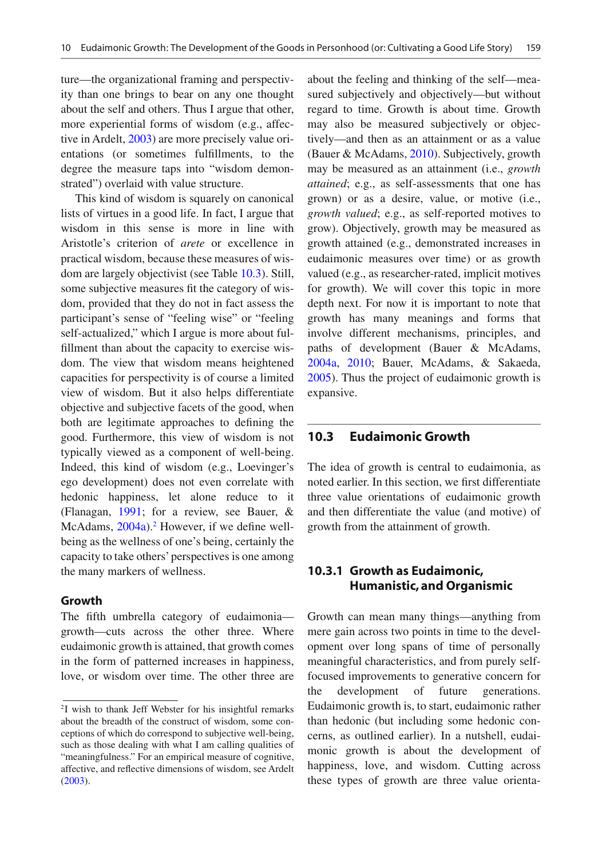ture—the organizational framing and perspectivity than one brings to bear on any one thought about the self and others. Thus I argue that other, more experiential forms of wisdom (e.g., affective in Ardelt, 2003) are more precisely value orientations (or sometimes fulfillments, to the degree the measure taps into "wisdom demonstrated") overlaid with value structure.

 This kind of wisdom is squarely on canonical lists of virtues in a good life. In fact, I argue that wisdom in this sense is more in line with Aristotle's criterion of *arete* or excellence in practical wisdom, because these measures of wis-dom are largely objectivist (see Table [10.3](#page-8-0)). Still, some subjective measures fit the category of wisdom, provided that they do not in fact assess the participant's sense of "feeling wise" or "feeling self-actualized," which I argue is more about fulfillment than about the capacity to exercise wisdom. The view that wisdom means heightened capacities for perspectivity is of course a limited view of wisdom. But it also helps differentiate objective and subjective facets of the good, when both are legitimate approaches to defining the good. Furthermore, this view of wisdom is not typically viewed as a component of well-being. Indeed, this kind of wisdom (e.g., Loevinger's ego development) does not even correlate with hedonic happiness, let alone reduce to it (Flanagan, [1991](#page-24-19); for a review, see Bauer,  $\&$ McAdams, 2004a).<sup>2</sup> However, if we define wellbeing as the wellness of one's being, certainly the capacity to take others' perspectives is one among the many markers of wellness.

#### **Growth**

The fifth umbrella category of eudaimoniagrowth—cuts across the other three. Where eudaimonic growth is attained, that growth comes in the form of patterned increases in happiness, love, or wisdom over time. The other three are

about the feeling and thinking of the self—measured subjectively and objectively—but without regard to time. Growth is about time. Growth may also be measured subjectively or objectively—and then as an attainment or as a value (Bauer & McAdams, 2010). Subjectively, growth may be measured as an attainment (i.e., *growth attained*; e.g., as self-assessments that one has grown) or as a desire, value, or motive (i.e., *growth valued*; e.g., as self-reported motives to grow). Objectively, growth may be measured as growth attained (e.g., demonstrated increases in eudaimonic measures over time) or as growth valued (e.g., as researcher-rated, implicit motives for growth). We will cover this topic in more depth next. For now it is important to note that growth has many meanings and forms that involve different mechanisms, principles, and paths of development (Bauer & McAdams, [2004a](#page-23-5), [2010](#page-23-1); Bauer, McAdams, & Sakaeda, 2005). Thus the project of eudaimonic growth is expansive.

#### **10.3 Eudaimonic Growth**

 The idea of growth is central to eudaimonia, as noted earlier. In this section, we first differentiate three value orientations of eudaimonic growth and then differentiate the value (and motive) of growth from the attainment of growth.

## **10.3.1 Growth as Eudaimonic, Humanistic, and Organismic**

 Growth can mean many things—anything from mere gain across two points in time to the development over long spans of time of personally meaningful characteristics, and from purely selffocused improvements to generative concern for the development of future generations. Eudaimonic growth is, to start, eudaimonic rather than hedonic (but including some hedonic concerns, as outlined earlier). In a nutshell, eudaimonic growth is about the development of happiness, love, and wisdom. Cutting across these types of growth are three value orienta-

<span id="page-12-0"></span><sup>&</sup>lt;sup>2</sup>I wish to thank Jeff Webster for his insightful remarks about the breadth of the construct of wisdom, some conceptions of which do correspond to subjective well-being, such as those dealing with what I am calling qualities of "meaningfulness." For an empirical measure of cognitive, affective, and reflective dimensions of wisdom, see Ardelt  $(2003)$ .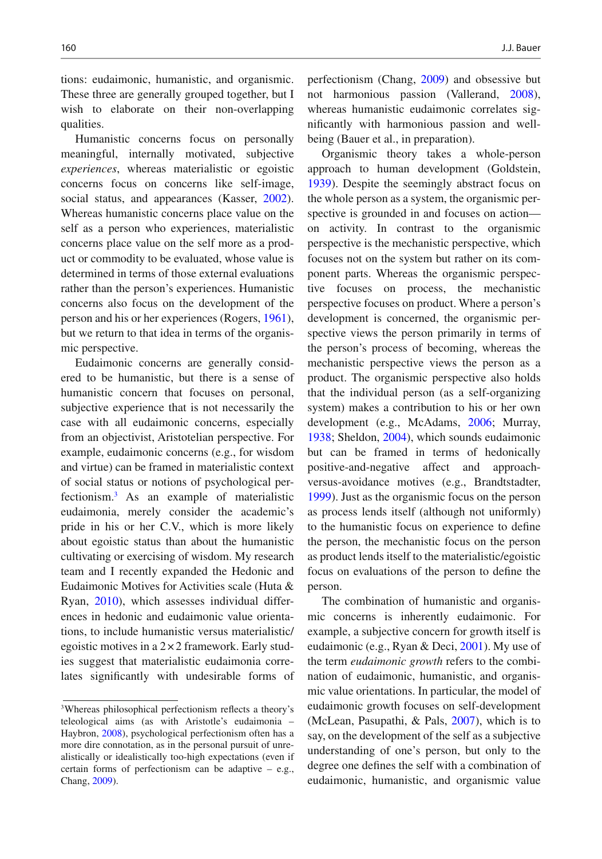tions: eudaimonic, humanistic, and organismic. These three are generally grouped together, but I wish to elaborate on their non-overlapping qualities.

 Humanistic concerns focus on personally meaningful, internally motivated, subjective *experiences* , whereas materialistic or egoistic concerns focus on concerns like self-image, social status, and appearances (Kasser, 2002). Whereas humanistic concerns place value on the self as a person who experiences, materialistic concerns place value on the self more as a product or commodity to be evaluated, whose value is determined in terms of those external evaluations rather than the person's experiences. Humanistic concerns also focus on the development of the person and his or her experiences (Rogers, 1961), but we return to that idea in terms of the organismic perspective.

 Eudaimonic concerns are generally considered to be humanistic, but there is a sense of humanistic concern that focuses on personal, subjective experience that is not necessarily the case with all eudaimonic concerns, especially from an objectivist, Aristotelian perspective. For example, eudaimonic concerns (e.g., for wisdom and virtue) can be framed in materialistic context of social status or notions of psychological perfectionism.<sup>3</sup> As an example of materialistic eudaimonia, merely consider the academic's pride in his or her C.V., which is more likely about egoistic status than about the humanistic cultivating or exercising of wisdom. My research team and I recently expanded the Hedonic and Eudaimonic Motives for Activities scale (Huta & Ryan, [2010](#page-24-11)), which assesses individual differences in hedonic and eudaimonic value orientations, to include humanistic versus materialistic/ egoistic motives in a  $2 \times 2$  framework. Early studies suggest that materialistic eudaimonia correlates significantly with undesirable forms of

<span id="page-13-0"></span><sup>3</sup>Whereas philosophical perfectionism reflects a theory's teleological aims (as with Aristotle's eudaimonia – Haybron, [2008](#page-24-1)), psychological perfectionism often has a more dire connotation, as in the personal pursuit of unrealistically or idealistically too-high expectations (even if certain forms of perfectionism can be adaptive – e.g., Chang, [2009](#page-24-20)).

perfectionism (Chang, [2009](#page-24-20)) and obsessive but not harmonious passion (Vallerand, 2008), whereas humanistic eudaimonic correlates significantly with harmonious passion and wellbeing (Bauer et al., in preparation).

 Organismic theory takes a whole-person approach to human development (Goldstein, 1939). Despite the seemingly abstract focus on the whole person as a system, the organismic perspective is grounded in and focuses on action on activity. In contrast to the organismic perspective is the mechanistic perspective, which focuses not on the system but rather on its component parts. Whereas the organismic perspective focuses on process, the mechanistic perspective focuses on product. Where a person's development is concerned, the organismic perspective views the person primarily in terms of the person's process of becoming, whereas the mechanistic perspective views the person as a product. The organismic perspective also holds that the individual person (as a self-organizing system) makes a contribution to his or her own development (e.g., McAdams, 2006; Murray, 1938; Sheldon, [2004](#page-26-17)), which sounds eudaimonic but can be framed in terms of hedonically positive- and-negative affect and approachversus- avoidance motives (e.g., Brandtstadter, [1999 \)](#page-24-22). Just as the organismic focus on the person as process lends itself (although not uniformly) to the humanistic focus on experience to define the person, the mechanistic focus on the person as product lends itself to the materialistic/egoistic focus on evaluations of the person to define the person.

 The combination of humanistic and organismic concerns is inherently eudaimonic. For example, a subjective concern for growth itself is eudaimonic (e.g., Ryan & Deci, 2001). My use of the term *eudaimonic growth* refers to the combination of eudaimonic, humanistic, and organismic value orientations. In particular, the model of eudaimonic growth focuses on self-development (McLean, Pasupathi,  $\&$  Pals, 2007), which is to say, on the development of the self as a subjective understanding of one's person, but only to the degree one defines the self with a combination of eudaimonic, humanistic, and organismic value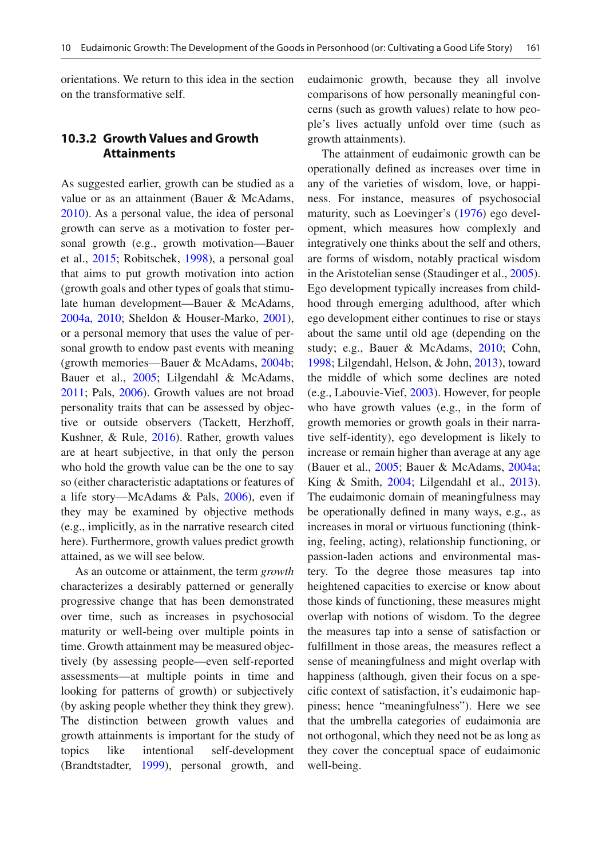orientations. We return to this idea in the section on the transformative self.

#### **10.3.2 Growth Values and Growth Attainments**

 As suggested earlier, growth can be studied as a value or as an attainment (Bauer & McAdams, [2010](#page-23-1)). As a personal value, the idea of personal growth can serve as a motivation to foster personal growth (e.g., growth motivation—Bauer et al., [2015](#page-24-8); Robitschek, 1998), a personal goal that aims to put growth motivation into action (growth goals and other types of goals that stimulate human development—Bauer & McAdams, [2004a](#page-23-5), 2010; Sheldon & Houser-Marko, 2001), or a personal memory that uses the value of personal growth to endow past events with meaning (growth memories—Bauer & McAdams, 2004b; Bauer et al., [2005](#page-23-6); Lilgendahl & McAdams, [2011](#page-25-21); Pals, 2006). Growth values are not broad personality traits that can be assessed by objective or outside observers (Tackett, Herzhoff, Kushner, & Rule, [2016](#page-26-22)). Rather, growth values are at heart subjective, in that only the person who hold the growth value can be the one to say so (either characteristic adaptations or features of a life story—McAdams & Pals,  $2006$ ), even if they may be examined by objective methods (e.g., implicitly, as in the narrative research cited here). Furthermore, growth values predict growth attained, as we will see below.

 As an outcome or attainment, the term *growth* characterizes a desirably patterned or generally progressive change that has been demonstrated over time, such as increases in psychosocial maturity or well-being over multiple points in time. Growth attainment may be measured objectively (by assessing people—even self-reported assessments—at multiple points in time and looking for patterns of growth) or subjectively (by asking people whether they think they grew). The distinction between growth values and growth attainments is important for the study of topics like intentional self-development (Brandtstadter, [1999](#page-24-22)), personal growth, and

eudaimonic growth, because they all involve comparisons of how personally meaningful concerns (such as growth values) relate to how people's lives actually unfold over time (such as growth attainments).

 The attainment of eudaimonic growth can be operationally defined as increases over time in any of the varieties of wisdom, love, or happiness. For instance, measures of psychosocial maturity, such as Loevinger's (1976) ego development, which measures how complexly and integratively one thinks about the self and others, are forms of wisdom, notably practical wisdom in the Aristotelian sense (Staudinger et al., 2005). Ego development typically increases from childhood through emerging adulthood, after which ego development either continues to rise or stays about the same until old age (depending on the study; e.g., Bauer & McAdams, [2010](#page-23-1); Cohn, 1998; Lilgendahl, Helson, & John, [2013](#page-25-23)), toward the middle of which some declines are noted (e.g., Labouvie-Vief, [2003 \)](#page-25-17). However, for people who have growth values (e.g., in the form of growth memories or growth goals in their narrative self-identity), ego development is likely to increase or remain higher than average at any age (Bauer et al., 2005; Bauer & McAdams, 2004a; King & Smith,  $2004$ ; Lilgendahl et al.,  $2013$ ). The eudaimonic domain of meaningfulness may be operationally defined in many ways, e.g., as increases in moral or virtuous functioning (thinking, feeling, acting), relationship functioning, or passion-laden actions and environmental mastery. To the degree those measures tap into heightened capacities to exercise or know about those kinds of functioning, these measures might overlap with notions of wisdom. To the degree the measures tap into a sense of satisfaction or fulfillment in those areas, the measures reflect a sense of meaningfulness and might overlap with happiness (although, given their focus on a specific context of satisfaction, it's eudaimonic happiness; hence "meaningfulness"). Here we see that the umbrella categories of eudaimonia are not orthogonal, which they need not be as long as they cover the conceptual space of eudaimonic well-being.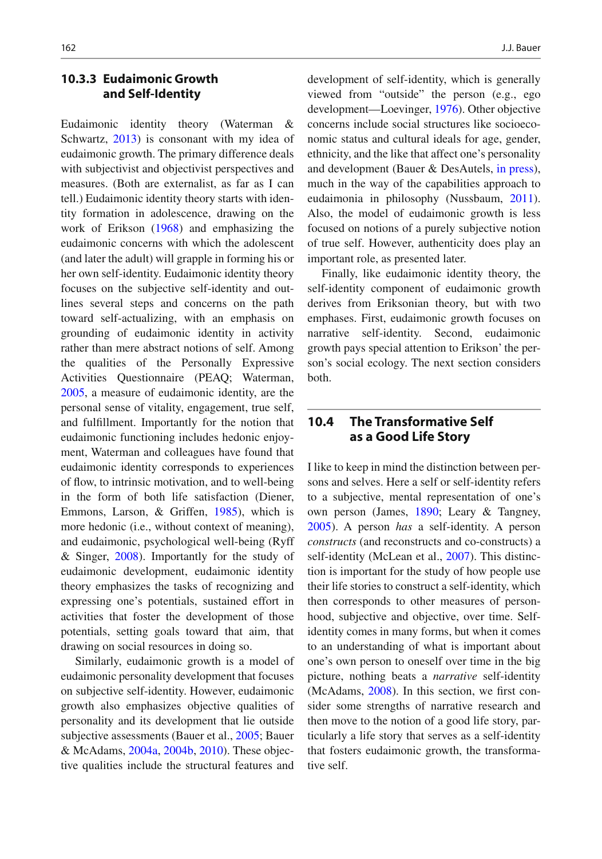## **10.3.3 Eudaimonic Growth and Self-Identity**

 Eudaimonic identity theory (Waterman & Schwartz,  $2013$ ) is consonant with my idea of eudaimonic growth. The primary difference deals with subjectivist and objectivist perspectives and measures. (Both are externalist, as far as I can tell.) Eudaimonic identity theory starts with identity formation in adolescence, drawing on the work of Erikson (1968) and emphasizing the eudaimonic concerns with which the adolescent (and later the adult) will grapple in forming his or her own self-identity. Eudaimonic identity theory focuses on the subjective self-identity and outlines several steps and concerns on the path toward self-actualizing, with an emphasis on grounding of eudaimonic identity in activity rather than mere abstract notions of self. Among the qualities of the Personally Expressive Activities Questionnaire (PEAQ; Waterman, [2005](#page-27-12) , a measure of eudaimonic identity, are the personal sense of vitality, engagement, true self, and fulfillment. Importantly for the notion that eudaimonic functioning includes hedonic enjoyment, Waterman and colleagues have found that eudaimonic identity corresponds to experiences of flow, to intrinsic motivation, and to well-being in the form of both life satisfaction (Diener, Emmons, Larson, & Griffen, [1985](#page-24-25)), which is more hedonic (i.e., without context of meaning), and eudaimonic, psychological well-being (Ryff  $&$  Singer, [2008](#page-26-6)). Importantly for the study of eudaimonic development, eudaimonic identity theory emphasizes the tasks of recognizing and expressing one's potentials, sustained effort in activities that foster the development of those potentials, setting goals toward that aim, that drawing on social resources in doing so.

 Similarly, eudaimonic growth is a model of eudaimonic personality development that focuses on subjective self-identity. However, eudaimonic growth also emphasizes objective qualities of personality and its development that lie outside subjective assessments (Bauer et al., 2005; Bauer & McAdams, [2004a](#page-23-5), [2004b](#page-23-7), [2010](#page-23-1)). These objective qualities include the structural features and

J.J. Bauer

development of self-identity, which is generally viewed from "outside" the person (e.g., ego development—Loevinger, [1976](#page-25-9)). Other objective concerns include social structures like socioeconomic status and cultural ideals for age, gender, ethnicity, and the like that affect one's personality and development (Bauer & DesAutels, in press), much in the way of the capabilities approach to eudaimonia in philosophy (Nussbaum, 2011). Also, the model of eudaimonic growth is less focused on notions of a purely subjective notion of true self. However, authenticity does play an important role, as presented later.

 Finally, like eudaimonic identity theory, the self-identity component of eudaimonic growth derives from Eriksonian theory, but with two emphases. First, eudaimonic growth focuses on narrative self-identity. Second, eudaimonic growth pays special attention to Erikson' the person's social ecology. The next section considers both.

## **10.4 The Transformative Self as a Good Life Story**

 I like to keep in mind the distinction between persons and selves. Here a self or self-identity refers to a subjective, mental representation of one's own person (James,  $1890$ ; Leary & Tangney, [2005 \)](#page-25-25). A person *has* a self-identity. A person *constructs* (and reconstructs and co-constructs) a self-identity (McLean et al., [2007](#page-25-20)). This distinction is important for the study of how people use their life stories to construct a self-identity, which then corresponds to other measures of personhood, subjective and objective, over time. Selfidentity comes in many forms, but when it comes to an understanding of what is important about one's own person to oneself over time in the big picture, nothing beats a *narrative* self-identity  $(McAdams, 2008)$ . In this section, we first consider some strengths of narrative research and then move to the notion of a good life story, particularly a life story that serves as a self-identity that fosters eudaimonic growth, the transformative self.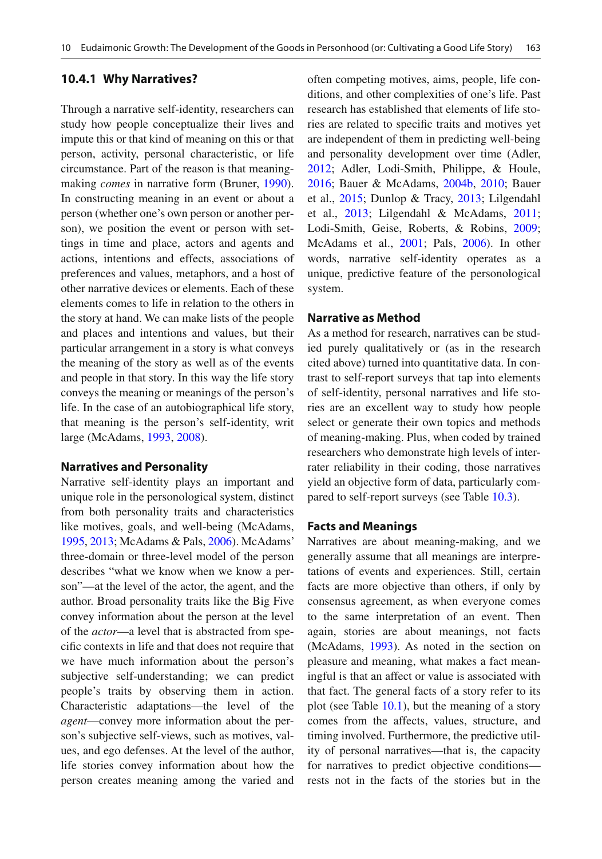#### **10.4.1 Why Narratives?**

 Through a narrative self-identity, researchers can study how people conceptualize their lives and impute this or that kind of meaning on this or that person, activity, personal characteristic, or life circumstance. Part of the reason is that meaningmaking *comes* in narrative form (Bruner, 1990). In constructing meaning in an event or about a person (whether one's own person or another person), we position the event or person with settings in time and place, actors and agents and actions, intentions and effects, associations of preferences and values, metaphors, and a host of other narrative devices or elements. Each of these elements comes to life in relation to the others in the story at hand. We can make lists of the people and places and intentions and values, but their particular arrangement in a story is what conveys the meaning of the story as well as of the events and people in that story. In this way the life story conveys the meaning or meanings of the person's life. In the case of an autobiographical life story, that meaning is the person's self-identity, writ large (McAdams, [1993](#page-25-14), [2008](#page-25-26)).

#### **Narratives and Personality**

 Narrative self-identity plays an important and unique role in the personological system, distinct from both personality traits and characteristics like motives, goals, and well-being (McAdams, [1995](#page-25-27) , [2013](#page-25-28) ; McAdams & Pals, [2006 \)](#page-25-22). McAdams' three-domain or three-level model of the person describes "what we know when we know a person"—at the level of the actor, the agent, and the author. Broad personality traits like the Big Five convey information about the person at the level of the *actor*—a level that is abstracted from specific contexts in life and that does not require that we have much information about the person's subjective self-understanding; we can predict people's traits by observing them in action. Characteristic adaptations—the level of the *agent* —convey more information about the person's subjective self-views, such as motives, values, and ego defenses. At the level of the author, life stories convey information about how the person creates meaning among the varied and

often competing motives, aims, people, life conditions, and other complexities of one's life. Past research has established that elements of life stories are related to specific traits and motives yet are independent of them in predicting well-being and personality development over time (Adler, 2012; Adler, Lodi-Smith, Philippe, & Houle, 2016; Bauer & McAdams, 2004b, [2010](#page-23-1); Bauer et al., 2015; Dunlop & Tracy, 2013; Lilgendahl et al., [2013](#page-25-23); Lilgendahl & McAdams, 2011; Lodi-Smith, Geise, Roberts, & Robins, 2009; McAdams et al., [2001](#page-25-30); Pals, 2006). In other words, narrative self-identity operates as a unique, predictive feature of the personological system.

#### **Narrative as Method**

 As a method for research, narratives can be studied purely qualitatively or (as in the research cited above) turned into quantitative data. In contrast to self-report surveys that tap into elements of self-identity, personal narratives and life stories are an excellent way to study how people select or generate their own topics and methods of meaning-making. Plus, when coded by trained researchers who demonstrate high levels of interrater reliability in their coding, those narratives yield an objective form of data, particularly com-pared to self-report surveys (see Table [10.3](#page-8-0)).

#### **Facts and Meanings**

 Narratives are about meaning-making, and we generally assume that all meanings are interpretations of events and experiences. Still, certain facts are more objective than others, if only by consensus agreement, as when everyone comes to the same interpretation of an event. Then again, stories are about meanings, not facts (McAdams,  $1993$ ). As noted in the section on pleasure and meaning, what makes a fact meaningful is that an affect or value is associated with that fact. The general facts of a story refer to its plot (see Table  $10.1$ ), but the meaning of a story comes from the affects, values, structure, and timing involved. Furthermore, the predictive utility of personal narratives—that is, the capacity for narratives to predict objective conditions rests not in the facts of the stories but in the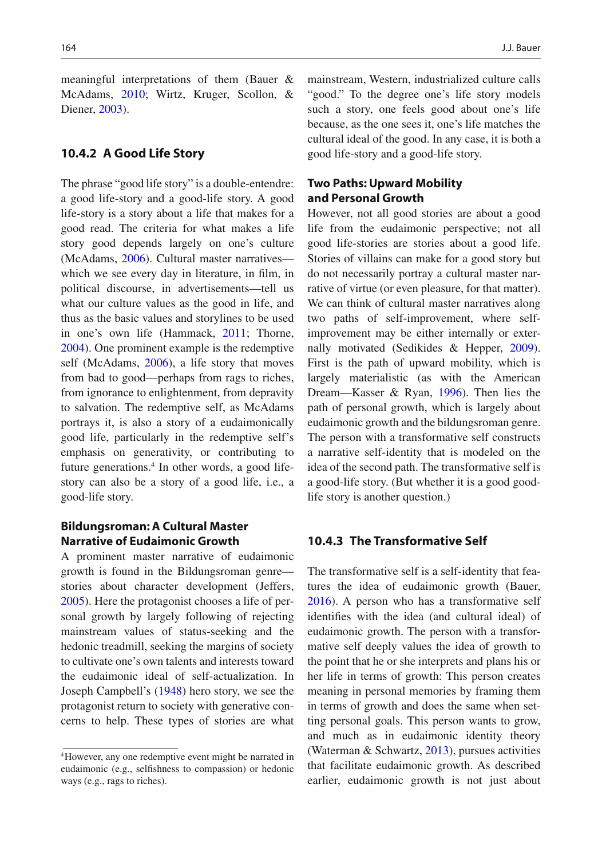meaningful interpretations of them (Bauer & McAdams, 2010; Wirtz, Kruger, Scollon, & Diener, 2003).

#### **10.4.2 A Good Life Story**

The phrase "good life story" is a double-entendre: a good life-story and a good-life story. A good life-story is a story about a life that makes for a good read. The criteria for what makes a life story good depends largely on one's culture (McAdams, 2006). Cultural master narratives which we see every day in literature, in film, in political discourse, in advertisements—tell us what our culture values as the good in life, and thus as the basic values and storylines to be used in one's own life (Hammack, 2011; Thorne, [2004](#page-27-14)). One prominent example is the redemptive self (McAdams, [2006](#page-25-3)), a life story that moves from bad to good—perhaps from rags to riches, from ignorance to enlightenment, from depravity to salvation. The redemptive self, as McAdams portrays it, is also a story of a eudaimonically good life, particularly in the redemptive self's emphasis on generativity, or contributing to future generations.<sup>4</sup> In other words, a good lifestory can also be a story of a good life, i.e., a good-life story.

#### **Bildungsroman: A Cultural Master Narrative of Eudaimonic Growth**

 A prominent master narrative of eudaimonic growth is found in the Bildungsroman genre stories about character development (Jeffers, [2005](#page-25-31) ). Here the protagonist chooses a life of personal growth by largely following of rejecting mainstream values of status-seeking and the hedonic treadmill, seeking the margins of society to cultivate one's own talents and interests toward the eudaimonic ideal of self-actualization. In Joseph Campbell's (1948) hero story, we see the protagonist return to society with generative concerns to help. These types of stories are what

mainstream, Western, industrialized culture calls "good." To the degree one's life story models such a story, one feels good about one's life because, as the one sees it, one's life matches the cultural ideal of the good. In any case, it is both a good life-story and a good-life story.

## **Two Paths: Upward Mobility and Personal Growth**

 However, not all good stories are about a good life from the eudaimonic perspective; not all good life-stories are stories about a good life. Stories of villains can make for a good story but do not necessarily portray a cultural master narrative of virtue (or even pleasure, for that matter). We can think of cultural master narratives along two paths of self-improvement, where selfimprovement may be either internally or externally motivated (Sedikides & Hepper, 2009). First is the path of upward mobility, which is largely materialistic (as with the American Dream—Kasser & Ryan,  $1996$ ). Then lies the path of personal growth, which is largely about eudaimonic growth and the bildungsroman genre. The person with a transformative self constructs a narrative self-identity that is modeled on the idea of the second path. The transformative self is a good-life story. (But whether it is a good goodlife story is another question.)

#### **10.4.3 The Transformative Self**

 The transformative self is a self-identity that features the idea of eudaimonic growth (Bauer,  $2016$ ). A person who has a transformative self identifies with the idea (and cultural ideal) of eudaimonic growth. The person with a transformative self deeply values the idea of growth to the point that he or she interprets and plans his or her life in terms of growth: This person creates meaning in personal memories by framing them in terms of growth and does the same when setting personal goals. This person wants to grow, and much as in eudaimonic identity theory (Waterman & Schwartz,  $2013$ ), pursues activities that facilitate eudaimonic growth. As described earlier, eudaimonic growth is not just about

<span id="page-17-0"></span><sup>4</sup> However, any one redemptive event might be narrated in eudaimonic (e.g., selfishness to compassion) or hedonic ways (e.g., rags to riches).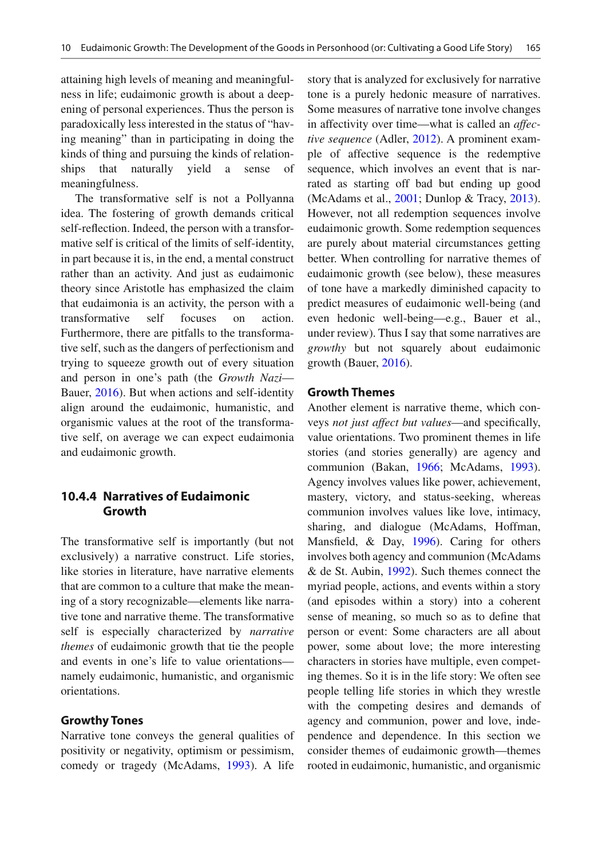attaining high levels of meaning and meaningfulness in life; eudaimonic growth is about a deepening of personal experiences. Thus the person is paradoxically less interested in the status of "having meaning" than in participating in doing the kinds of thing and pursuing the kinds of relationships that naturally yield a sense of meaningfulness.

 The transformative self is not a Pollyanna idea. The fostering of growth demands critical self-reflection. Indeed, the person with a transformative self is critical of the limits of self-identity, in part because it is, in the end, a mental construct rather than an activity. And just as eudaimonic theory since Aristotle has emphasized the claim that eudaimonia is an activity, the person with a transformative self focuses on action. Furthermore, there are pitfalls to the transformative self, such as the dangers of perfectionism and trying to squeeze growth out of every situation and person in one's path (the *Growth Nazi*— Bauer, 2016). But when actions and self-identity align around the eudaimonic, humanistic, and organismic values at the root of the transformative self, on average we can expect eudaimonia and eudaimonic growth.

## **10.4.4 Narratives of Eudaimonic Growth**

 The transformative self is importantly (but not exclusively) a narrative construct. Life stories, like stories in literature, have narrative elements that are common to a culture that make the meaning of a story recognizable—elements like narrative tone and narrative theme. The transformative self is especially characterized by *narrative themes* of eudaimonic growth that tie the people and events in one's life to value orientations namely eudaimonic, humanistic, and organismic orientations.

#### **Growthy Tones**

 Narrative tone conveys the general qualities of positivity or negativity, optimism or pessimism, comedy or tragedy (McAdams, [1993](#page-25-14)). A life

story that is analyzed for exclusively for narrative tone is a purely hedonic measure of narratives. Some measures of narrative tone involve changes in affectivity over time—what is called an *affective sequence* (Adler, [2012](#page-23-9)). A prominent example of affective sequence is the redemptive sequence, which involves an event that is narrated as starting off bad but ending up good (McAdams et al., [2001](#page-25-30); Dunlop & Tracy, 2013). However, not all redemption sequences involve eudaimonic growth. Some redemption sequences are purely about material circumstances getting better. When controlling for narrative themes of eudaimonic growth (see below), these measures of tone have a markedly diminished capacity to predict measures of eudaimonic well-being (and even hedonic well-being—e.g., Bauer et al., under review). Thus I say that some narratives are *growthy* but not squarely about eudaimonic growth (Bauer,  $2016$ ).

#### **Growth Themes**

 Another element is narrative theme, which conveys *not just affect but values*—and specifically, value orientations. Two prominent themes in life stories (and stories generally) are agency and communion (Bakan, 1966; McAdams, 1993). Agency involves values like power, achievement, mastery, victory, and status-seeking, whereas communion involves values like love, intimacy, sharing, and dialogue (McAdams, Hoffman, Mansfield, & Day, 1996). Caring for others involves both agency and communion (McAdams  $&$  de St. Aubin, 1992). Such themes connect the myriad people, actions, and events within a story (and episodes within a story) into a coherent sense of meaning, so much so as to define that person or event: Some characters are all about power, some about love; the more interesting characters in stories have multiple, even competing themes. So it is in the life story: We often see people telling life stories in which they wrestle with the competing desires and demands of agency and communion, power and love, independence and dependence. In this section we consider themes of eudaimonic growth—themes rooted in eudaimonic, humanistic, and organismic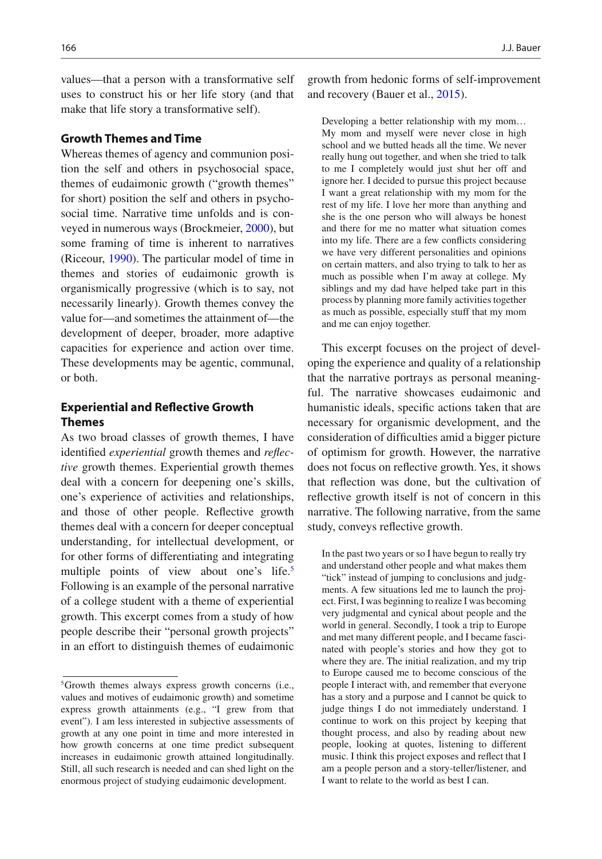#### **Growth Themes and Time**

 Whereas themes of agency and communion position the self and others in psychosocial space, themes of eudaimonic growth ("growth themes" for short) position the self and others in psychosocial time. Narrative time unfolds and is conveyed in numerous ways (Brockmeier, 2000), but some framing of time is inherent to narratives (Riceour, 1990). The particular model of time in themes and stories of eudaimonic growth is organismically progressive (which is to say, not necessarily linearly). Growth themes convey the value for—and sometimes the attainment of—the development of deeper, broader, more adaptive capacities for experience and action over time. These developments may be agentic, communal, or both.

#### **Experiential and Reflective Growth Themes**

 As two broad classes of growth themes, I have identified *experiential* growth themes and *reflective* growth themes. Experiential growth themes deal with a concern for deepening one's skills, one's experience of activities and relationships, and those of other people. Reflective growth themes deal with a concern for deeper conceptual understanding, for intellectual development, or for other forms of differentiating and integrating multiple points of view about one's life.<sup>5</sup> Following is an example of the personal narrative of a college student with a theme of experiential growth. This excerpt comes from a study of how people describe their "personal growth projects" in an effort to distinguish themes of eudaimonic growth from hedonic forms of self-improvement and recovery (Bauer et al., [2015](#page-24-8)).

 Developing a better relationship with my mom… My mom and myself were never close in high school and we butted heads all the time. We never really hung out together, and when she tried to talk to me I completely would just shut her off and ignore her. I decided to pursue this project because I want a great relationship with my mom for the rest of my life. I love her more than anything and she is the one person who will always be honest and there for me no matter what situation comes into my life. There are a few conflicts considering we have very different personalities and opinions on certain matters, and also trying to talk to her as much as possible when I'm away at college. My siblings and my dad have helped take part in this process by planning more family activities together as much as possible, especially stuff that my mom and me can enjoy together.

 This excerpt focuses on the project of developing the experience and quality of a relationship that the narrative portrays as personal meaningful. The narrative showcases eudaimonic and humanistic ideals, specific actions taken that are necessary for organismic development, and the consideration of difficulties amid a bigger picture of optimism for growth. However, the narrative does not focus on reflective growth. Yes, it shows that reflection was done, but the cultivation of reflective growth itself is not of concern in this narrative. The following narrative, from the same study, conveys reflective growth.

 In the past two years or so I have begun to really try and understand other people and what makes them "tick" instead of jumping to conclusions and judgments. A few situations led me to launch the project. First, I was beginning to realize I was becoming very judgmental and cynical about people and the world in general. Secondly, I took a trip to Europe and met many different people, and I became fascinated with people's stories and how they got to where they are. The initial realization, and my trip to Europe caused me to become conscious of the people I interact with, and remember that everyone has a story and a purpose and I cannot be quick to judge things I do not immediately understand. I continue to work on this project by keeping that thought process, and also by reading about new people, looking at quotes, listening to different music. I think this project exposes and reflect that I am a people person and a story-teller/listener, and I want to relate to the world as best I can.

<span id="page-19-0"></span><sup>5</sup> Growth themes always express growth concerns (i.e., values and motives of eudaimonic growth) and sometime express growth attainments (e.g., "I grew from that event"). I am less interested in subjective assessments of growth at any one point in time and more interested in how growth concerns at one time predict subsequent increases in eudaimonic growth attained longitudinally. Still, all such research is needed and can shed light on the enormous project of studying eudaimonic development.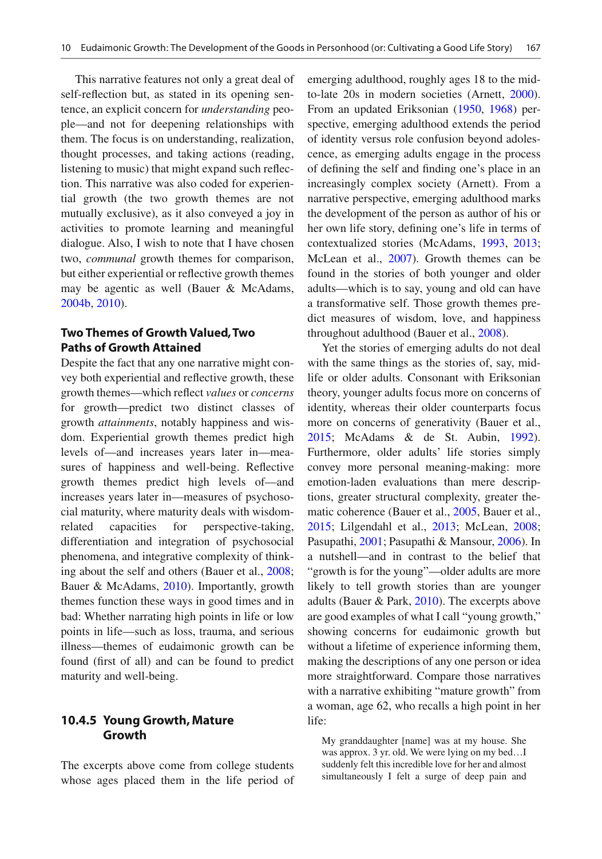This narrative features not only a great deal of self-reflection but, as stated in its opening sentence, an explicit concern for *understanding* people—and not for deepening relationships with them. The focus is on understanding, realization, thought processes, and taking actions (reading, listening to music) that might expand such reflection. This narrative was also coded for experiential growth (the two growth themes are not mutually exclusive), as it also conveyed a joy in activities to promote learning and meaningful dialogue. Also, I wish to note that I have chosen two, *communal* growth themes for comparison, but either experiential or reflective growth themes may be agentic as well (Bauer & McAdams, [2004b](#page-23-7), [2010](#page-23-1)).

#### **Two Themes of Growth Valued, Two Paths of Growth Attained**

 Despite the fact that any one narrative might convey both experiential and reflective growth, these growth themes—which reflect *values* or *concerns* for growth—predict two distinct classes of growth *attainments* , notably happiness and wisdom. Experiential growth themes predict high levels of—and increases years later in—measures of happiness and well-being. Reflective growth themes predict high levels of—and increases years later in—measures of psychosocial maturity, where maturity deals with wisdomrelated capacities for perspective-taking, differentiation and integration of psychosocial phenomena, and integrative complexity of thinking about the self and others (Bauer et al., 2008; Bauer & McAdams, 2010). Importantly, growth themes function these ways in good times and in bad: Whether narrating high points in life or low points in life—such as loss, trauma, and serious illness—themes of eudaimonic growth can be found (first of all) and can be found to predict maturity and well-being.

#### **10.4.5 Young Growth, Mature Growth**

 The excerpts above come from college students whose ages placed them in the life period of emerging adulthood, roughly ages 18 to the midto-late 20s in modern societies (Arnett, 2000). From an updated Eriksonian (1950, [1968](#page-24-24)) perspective, emerging adulthood extends the period of identity versus role confusion beyond adolescence, as emerging adults engage in the process of defining the self and finding one's place in an increasingly complex society (Arnett). From a narrative perspective, emerging adulthood marks the development of the person as author of his or her own life story, defining one's life in terms of contextualized stories (McAdams, 1993, 2013; McLean et al., 2007). Growth themes can be found in the stories of both younger and older adults—which is to say, young and old can have a transformative self. Those growth themes predict measures of wisdom, love, and happiness throughout adulthood (Bauer et al., 2008).

 Yet the stories of emerging adults do not deal with the same things as the stories of, say, midlife or older adults. Consonant with Eriksonian theory, younger adults focus more on concerns of identity, whereas their older counterparts focus more on concerns of generativity (Bauer et al., 2015; McAdams & de St. Aubin, 1992). Furthermore, older adults' life stories simply convey more personal meaning-making: more emotion-laden evaluations than mere descriptions, greater structural complexity, greater the-matic coherence (Bauer et al., [2005](#page-23-6), Bauer et al., 2015; Lilgendahl et al., 2013; McLean, 2008; Pasupathi, [2001](#page-26-25); Pasupathi & Mansour, [2006](#page-26-26)). In a nutshell—and in contrast to the belief that "growth is for the young"—older adults are more likely to tell growth stories than are younger adults (Bauer & Park,  $2010$ ). The excerpts above are good examples of what I call "young growth," showing concerns for eudaimonic growth but without a lifetime of experience informing them, making the descriptions of any one person or idea more straightforward. Compare those narratives with a narrative exhibiting "mature growth" from a woman, age 62, who recalls a high point in her life:

 My granddaughter [name] was at my house. She was approx. 3 yr. old. We were lying on my bed…I suddenly felt this incredible love for her and almost simultaneously I felt a surge of deep pain and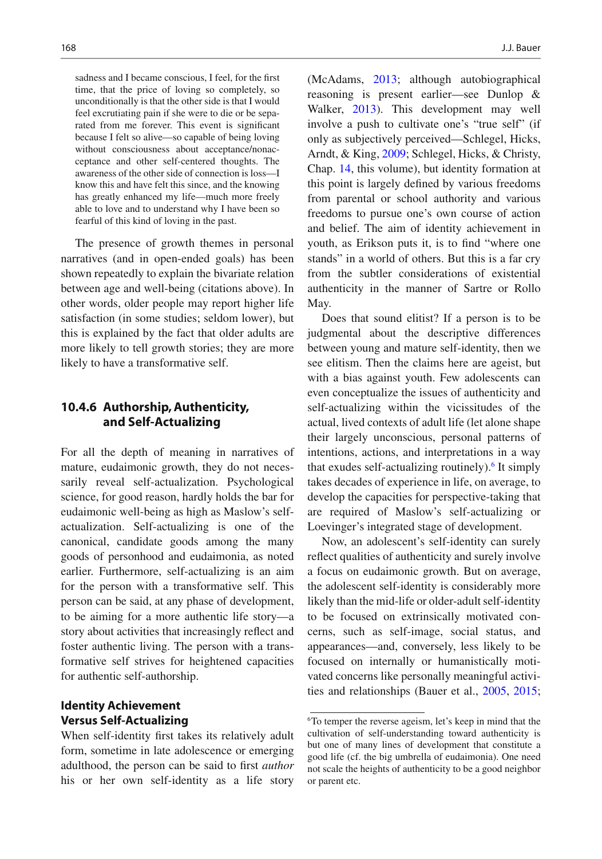sadness and I became conscious, I feel, for the first time, that the price of loving so completely, so unconditionally is that the other side is that I would feel excrutiating pain if she were to die or be separated from me forever. This event is significant because I felt so alive—so capable of being loving without consciousness about acceptance/nonacceptance and other self-centered thoughts. The awareness of the other side of connection is loss—I know this and have felt this since, and the knowing has greatly enhanced my life—much more freely able to love and to understand why I have been so fearful of this kind of loving in the past.

 The presence of growth themes in personal narratives (and in open-ended goals) has been shown repeatedly to explain the bivariate relation between age and well-being (citations above). In other words, older people may report higher life satisfaction (in some studies; seldom lower), but this is explained by the fact that older adults are more likely to tell growth stories; they are more likely to have a transformative self.

## **10.4.6 Authorship, Authenticity, and Self-Actualizing**

 For all the depth of meaning in narratives of mature, eudaimonic growth, they do not necessarily reveal self-actualization. Psychological science, for good reason, hardly holds the bar for eudaimonic well-being as high as Maslow's selfactualization. Self-actualizing is one of the canonical, candidate goods among the many goods of personhood and eudaimonia, as noted earlier. Furthermore, self-actualizing is an aim for the person with a transformative self. This person can be said, at any phase of development, to be aiming for a more authentic life story—a story about activities that increasingly reflect and foster authentic living. The person with a transformative self strives for heightened capacities for authentic self-authorship.

## **Identity Achievement Versus Self-Actualizing**

When self-identity first takes its relatively adult form, sometime in late adolescence or emerging adulthood, the person can be said to first *author* his or her own self-identity as a life story

(McAdams, [2013](#page-25-28); although autobiographical reasoning is present earlier—see Dunlop & Walker, 2013). This development may well involve a push to cultivate one's "true self" (if only as subjectively perceived—Schlegel, Hicks, Arndt, & King, [2009](#page-26-27); Schlegel, Hicks, & Christy, Chap. [14](SpringerLink:ChapterTarget), this volume), but identity formation at this point is largely defined by various freedoms from parental or school authority and various freedoms to pursue one's own course of action and belief. The aim of identity achievement in youth, as Erikson puts it, is to find "where one stands" in a world of others. But this is a far cry from the subtler considerations of existential authenticity in the manner of Sartre or Rollo May.

 Does that sound elitist? If a person is to be judgmental about the descriptive differences between young and mature self-identity, then we see elitism. Then the claims here are ageist, but with a bias against youth. Few adolescents can even conceptualize the issues of authenticity and self-actualizing within the vicissitudes of the actual, lived contexts of adult life (let alone shape their largely unconscious, personal patterns of intentions, actions, and interpretations in a way that exudes self-actualizing routinely).<sup>6</sup> It simply takes decades of experience in life, on average, to develop the capacities for perspective-taking that are required of Maslow's self-actualizing or Loevinger's integrated stage of development.

 Now, an adolescent's self-identity can surely reflect qualities of authenticity and surely involve a focus on eudaimonic growth. But on average, the adolescent self-identity is considerably more likely than the mid-life or older-adult self- identity to be focused on extrinsically motivated concerns, such as self-image, social status, and appearances—and, conversely, less likely to be focused on internally or humanistically motivated concerns like personally meaningful activities and relationships (Bauer et al., 2005, 2015;

<span id="page-21-0"></span><sup>6</sup> To temper the reverse ageism, let's keep in mind that the cultivation of self-understanding toward authenticity is but one of many lines of development that constitute a good life (cf. the big umbrella of eudaimonia). One need not scale the heights of authenticity to be a good neighbor or parent etc.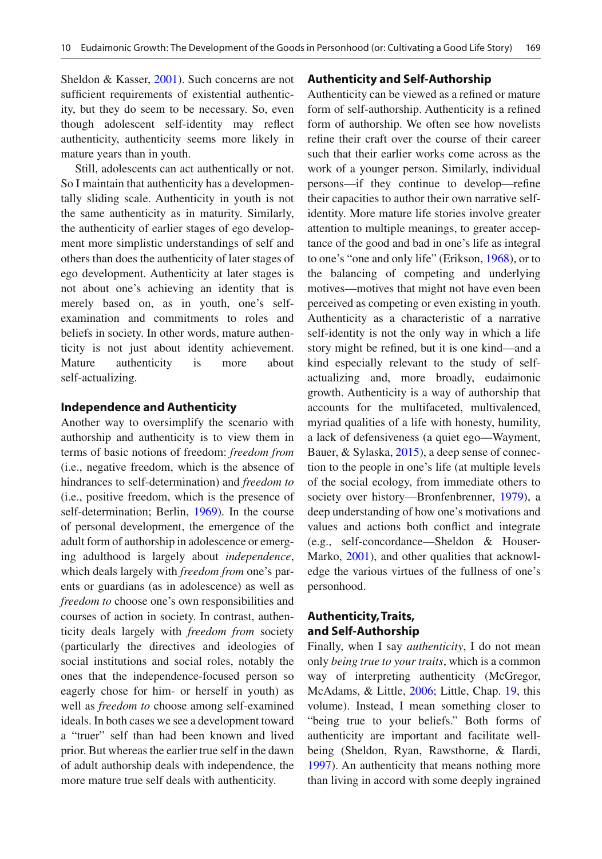Sheldon & Kasser, [2001](#page-26-28)). Such concerns are not sufficient requirements of existential authenticity, but they do seem to be necessary. So, even though adolescent self-identity may reflect authenticity, authenticity seems more likely in mature years than in youth.

 Still, adolescents can act authentically or not. So I maintain that authenticity has a developmentally sliding scale. Authenticity in youth is not the same authenticity as in maturity. Similarly, the authenticity of earlier stages of ego development more simplistic understandings of self and others than does the authenticity of later stages of ego development. Authenticity at later stages is not about one's achieving an identity that is merely based on, as in youth, one's selfexamination and commitments to roles and beliefs in society. In other words, mature authenticity is not just about identity achievement. Mature authenticity is more about self-actualizing.

#### **Independence and Authenticity**

 Another way to oversimplify the scenario with authorship and authenticity is to view them in terms of basic notions of freedom: *freedom from* (i.e., negative freedom, which is the absence of hindrances to self-determination) and *freedom to* (i.e., positive freedom, which is the presence of self-determination; Berlin, [1969](#page-24-33)). In the course of personal development, the emergence of the adult form of authorship in adolescence or emerging adulthood is largely about *independence* , which deals largely with *freedom from* one's parents or guardians (as in adolescence) as well as *freedom to* choose one's own responsibilities and courses of action in society. In contrast, authenticity deals largely with *freedom from* society (particularly the directives and ideologies of social institutions and social roles, notably the ones that the independence-focused person so eagerly chose for him- or herself in youth) as well as *freedom to* choose among self-examined ideals. In both cases we see a development toward a "truer" self than had been known and lived prior. But whereas the earlier true self in the dawn of adult authorship deals with independence, the more mature true self deals with authenticity.

#### **Authenticity and Self-Authorship**

Authenticity can be viewed as a refined or mature form of self-authorship. Authenticity is a refined form of authorship. We often see how novelists refine their craft over the course of their career such that their earlier works come across as the work of a younger person. Similarly, individual persons—if they continue to develop—refine their capacities to author their own narrative selfidentity. More mature life stories involve greater attention to multiple meanings, to greater acceptance of the good and bad in one's life as integral to one's "one and only life" (Erikson, [1968](#page-27-12)), or to the balancing of competing and underlying motives—motives that might not have even been perceived as competing or even existing in youth. Authenticity as a characteristic of a narrative self-identity is not the only way in which a life story might be refined, but it is one kind—and a kind especially relevant to the study of selfactualizing and, more broadly, eudaimonic growth. Authenticity is a way of authorship that accounts for the multifaceted, multivalenced, myriad qualities of a life with honesty, humility, a lack of defensiveness (a quiet ego—Wayment, Bauer, & Sylaska, 2015), a deep sense of connection to the people in one's life (at multiple levels of the social ecology, from immediate others to society over history—Bronfenbrenner, [1979](#page-24-34)), a deep understanding of how one's motivations and values and actions both conflict and integrate (e.g., self-concordance—Sheldon & Houser-Marko, [2001](#page-26-20)), and other qualities that acknowledge the various virtues of the fullness of one's personhood.

#### **Authenticity, Traits, and Self-Authorship**

Finally, when I say *authenticity*, I do not mean only *being true to your traits* , which is a common way of interpreting authenticity (McGregor, McAdams, & Little, [2006](#page-25-34); Little, Chap. [19](SpringerLink:ChapterTarget), this volume). Instead, I mean something closer to "being true to your beliefs." Both forms of authenticity are important and facilitate wellbeing (Sheldon, Ryan, Rawsthorne, & Ilardi, 1997). An authenticity that means nothing more than living in accord with some deeply ingrained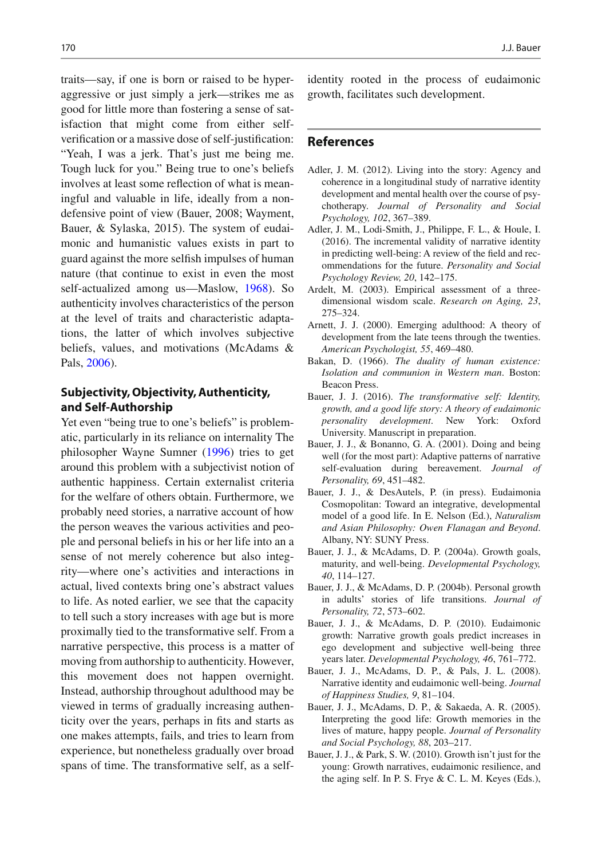traits—say, if one is born or raised to be hyperaggressive or just simply a jerk—strikes me as good for little more than fostering a sense of satisfaction that might come from either selfverification or a massive dose of self-justification: "Yeah, I was a jerk. That's just me being me. Tough luck for you." Being true to one's beliefs involves at least some reflection of what is meaningful and valuable in life, ideally from a nondefensive point of view (Bauer, 2008; Wayment, Bauer, & Sylaska, 2015). The system of eudaimonic and humanistic values exists in part to guard against the more selfish impulses of human nature (that continue to exist in even the most self-actualized among us—Maslow, 1968). So authenticity involves characteristics of the person at the level of traits and characteristic adaptations, the latter of which involves subjective beliefs, values, and motivations (McAdams & Pals, 2006).

## **Subjectivity, Objectivity, Authenticity, and Self-Authorship**

 Yet even "being true to one's beliefs" is problematic, particularly in its reliance on internality The philosopher Wayne Sumner (1996) tries to get around this problem with a subjectivist notion of authentic happiness. Certain externalist criteria for the welfare of others obtain. Furthermore, we probably need stories, a narrative account of how the person weaves the various activities and people and personal beliefs in his or her life into an a sense of not merely coherence but also integrity—where one's activities and interactions in actual, lived contexts bring one's abstract values to life. As noted earlier, we see that the capacity to tell such a story increases with age but is more proximally tied to the transformative self. From a narrative perspective, this process is a matter of moving from authorship to authenticity. However, this movement does not happen overnight. Instead, authorship throughout adulthood may be viewed in terms of gradually increasing authenticity over the years, perhaps in fits and starts as one makes attempts, fails, and tries to learn from experience, but nonetheless gradually over broad spans of time. The transformative self, as a selfidentity rooted in the process of eudaimonic growth, facilitates such development.

#### **References**

- <span id="page-23-9"></span> Adler, J. M. (2012). Living into the story: Agency and coherence in a longitudinal study of narrative identity development and mental health over the course of psychotherapy. *Journal of Personality and Social Psychology, 102* , 367–389.
- <span id="page-23-10"></span> Adler, J. M., Lodi-Smith, J., Philippe, F. L., & Houle, I. (2016). The incremental validity of narrative identity in predicting well-being: A review of the field and recommendations for the future. *Personality and Social Psychology Review, 20* , 142–175.
- <span id="page-23-4"></span> Ardelt, M. (2003). Empirical assessment of a threedimensional wisdom scale. *Research on Aging, 23* , 275–324.
- <span id="page-23-12"></span> Arnett, J. J. (2000). Emerging adulthood: A theory of development from the late teens through the twenties. *American Psychologist, 55* , 469–480.
- <span id="page-23-11"></span> Bakan, D. (1966). *The duality of human existence: Isolation and communion in Western man* . Boston: Beacon Press.
- <span id="page-23-0"></span> Bauer, J. J. (2016). *The transformative self: Identity, growth, and a good life story: A theory of eudaimonic personality development* . New York: Oxford University. Manuscript in preparation.
- <span id="page-23-2"></span> Bauer, J. J., & Bonanno, G. A. (2001). Doing and being well (for the most part): Adaptive patterns of narrative self-evaluation during bereavement. *Journal of Personality, 69* , 451–482.
- <span id="page-23-8"></span> Bauer, J. J., & DesAutels, P. (in press). Eudaimonia Cosmopolitan: Toward an integrative, developmental model of a good life. In E. Nelson (Ed.), *Naturalism and Asian Philosophy: Owen Flanagan and Beyond* . Albany, NY: SUNY Press.
- <span id="page-23-5"></span> Bauer, J. J., & McAdams, D. P. (2004a). Growth goals, maturity, and well-being. *Developmental Psychology, 40* , 114–127.
- <span id="page-23-7"></span> Bauer, J. J., & McAdams, D. P. (2004b). Personal growth in adults' stories of life transitions. *Journal of Personality, 72* , 573–602.
- <span id="page-23-1"></span> Bauer, J. J., & McAdams, D. P. (2010). Eudaimonic growth: Narrative growth goals predict increases in ego development and subjective well-being three years later. *Developmental Psychology, 46* , 761–772.
- <span id="page-23-3"></span> Bauer, J. J., McAdams, D. P., & Pals, J. L. (2008). Narrative identity and eudaimonic well-being. *Journal of Happiness Studies, 9* , 81–104.
- <span id="page-23-6"></span> Bauer, J. J., McAdams, D. P., & Sakaeda, A. R. (2005). Interpreting the good life: Growth memories in the lives of mature, happy people. *Journal of Personality and Social Psychology, 88* , 203–217.
- <span id="page-23-13"></span> Bauer, J. J., & Park, S. W. (2010). Growth isn't just for the young: Growth narratives, eudaimonic resilience, and the aging self. In P. S. Frye & C. L. M. Keyes (Eds.),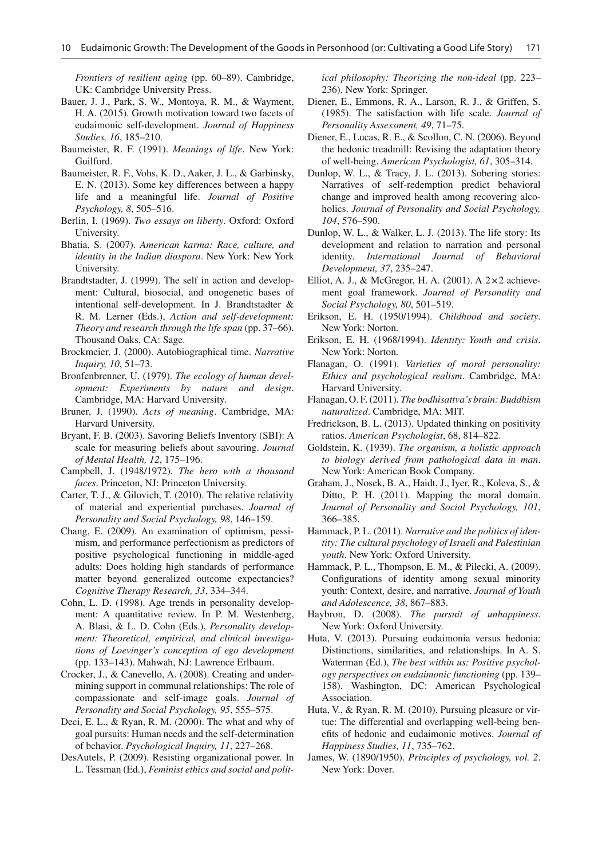*Frontiers of resilient aging* (pp. 60–89). Cambridge, UK: Cambridge University Press.

- <span id="page-24-8"></span> Bauer, J. J., Park, S. W., Montoya, R. M., & Wayment, H. A. (2015). Growth motivation toward two facets of eudaimonic self-development. *Journal of Happiness Studies, 16* , 185–210.
- <span id="page-24-7"></span>Baumeister, R. F. (1991). *Meanings of life*. New York: Guilford.
- <span id="page-24-5"></span> Baumeister, R. F., Vohs, K. D., Aaker, J. L., & Garbinsky, E. N. (2013). Some key differences between a happy life and a meaningful life. *Journal of Positive Psychology, 8* , 505–516.
- <span id="page-24-33"></span>Berlin, I. (1969). *Two essays on liberty*. Oxford: Oxford University.
- <span id="page-24-14"></span> Bhatia, S. (2007). *American karma: Race, culture, and identity in the Indian diaspora* . New York: New York University.
- <span id="page-24-22"></span> Brandtstadter, J. (1999). The self in action and development: Cultural, biosocial, and onogenetic bases of intentional self-development. In J. Brandtstadter & R. M. Lerner (Eds.), *Action and self-development: Theory and research through the life span* (pp. 37–66). Thousand Oaks, CA: Sage.
- <span id="page-24-31"></span> Brockmeier, J. (2000). Autobiographical time. *Narrative Inquiry, 10* , 51–73.
- <span id="page-24-34"></span> Bronfenbrenner, U. (1979). *The ecology of human development:* Experiments by nature and design. Cambridge, MA: Harvard University.
- <span id="page-24-27"></span>Bruner, J. (1990). *Acts of meaning*. Cambridge, MA: Harvard University.
- <span id="page-24-13"></span> Bryant, F. B. (2003). Savoring Beliefs Inventory (SBI): A scale for measuring beliefs about savouring. *Journal of Mental Health, 12* , 175–196.
- <span id="page-24-30"></span> Campbell, J. (1948/1972). *The hero with a thousand faces* . Princeton, NJ: Princeton University.
- <span id="page-24-6"></span> Carter, T. J., & Gilovich, T. (2010). The relative relativity of material and experiential purchases. *Journal of Personality and Social Psychology, 98* , 146–159.
- <span id="page-24-20"></span> Chang, E. (2009). An examination of optimism, pessimism, and performance perfectionism as predictors of positive psychological functioning in middle-aged adults: Does holding high standards of performance matter beyond generalized outcome expectancies? *Cognitive Therapy Research, 33* , 334–344.
- <span id="page-24-23"></span> Cohn, L. D. (1998). Age trends in personality development: A quantitative review. In P. M. Westenberg, A. Blasi, & L. D. Cohn (Eds.), *Personality development: Theoretical, empirical, and clinical investigations of Loevinger's conception of ego development* (pp. 133–143). Mahwah, NJ: Lawrence Erlbaum.
- <span id="page-24-18"></span> Crocker, J., & Canevello, A. (2008). Creating and undermining support in communal relationships: The role of compassionate and self-image goals. *Journal of Personality and Social Psychology, 95* , 555–575.
- <span id="page-24-12"></span> Deci, E. L., & Ryan, R. M. (2000). The what and why of goal pursuits: Human needs and the self-determination of behavior. *Psychological Inquiry, 11* , 227–268.
- <span id="page-24-15"></span> DesAutels, P. (2009). Resisting organizational power. In L. Tessman (Ed.), *Feminist ethics and social and polit-*

*ical philosophy: Theorizing the non-ideal* (pp. 223– 236). New York: Springer.

- <span id="page-24-25"></span> Diener, E., Emmons, R. A., Larson, R. J., & Griffen, S. (1985). The satisfaction with life scale. *Journal of Personality Assessment, 49* , 71–75.
- <span id="page-24-0"></span> Diener, E., Lucas, R. E., & Scollon, C. N. (2006). Beyond the hedonic treadmill: Revising the adaptation theory of well-being. *American Psychologist, 61* , 305–314.
- <span id="page-24-28"></span> Dunlop, W. L., & Tracy, J. L. (2013). Sobering stories: Narratives of self-redemption predict behavioral change and improved health among recovering alcoholics. *Journal of Personality and Social Psychology, 104* , 576–590.
- <span id="page-24-32"></span> Dunlop, W. L., & Walker, L. J. (2013). The life story: Its development and relation to narration and personal identity. *International Journal of Behavioral Development, 37* , 235–247.
- <span id="page-24-9"></span>Elliot, A. J., & McGregor, H. A. (2001). A 2×2 achievement goal framework. *Journal of Personality and Social Psychology, 80* , 501–519.
- <span id="page-24-17"></span> Erikson, E. H. (1950/1994). *Childhood and society* . New York: Norton.
- <span id="page-24-24"></span> Erikson, E. H. (1968/1994). *Identity: Youth and crisis* . New York: Norton.
- <span id="page-24-19"></span> Flanagan, O. (1991). *Varieties of moral personality: Ethics and psychological realism* . Cambridge, MA: Harvard University.
- <span id="page-24-3"></span> Flanagan, O. F. (2011). *The bodhisattva's brain: Buddhism naturalized* . Cambridge, MA: MIT.
- <span id="page-24-4"></span> Fredrickson, B. L. (2013). Updated thinking on positivity ratios. *American Psychologist* , 68, 814–822.
- <span id="page-24-21"></span> Goldstein, K. (1939). *The organism, a holistic approach to biology derived from pathological data in man* . New York: American Book Company.
- <span id="page-24-10"></span> Graham, J., Nosek, B. A., Haidt, J., Iyer, R., Koleva, S., & Ditto, P. H. (2011). Mapping the moral domain. Journal of Personality and Social Psychology, 101, 366–385.
- <span id="page-24-29"></span> Hammack, P. L. (2011). *Narrative and the politics of identity: The cultural psychology of Israeli and Palestinian youth* . New York: Oxford University.
- <span id="page-24-16"></span> Hammack, P. L., Thompson, E. M., & Pilecki, A. (2009). Configurations of identity among sexual minority youth: Context, desire, and narrative. *Journal of Youth and Adolescence, 38* , 867–883.
- <span id="page-24-1"></span> Haybron, D. (2008). *The pursuit of unhappiness* . New York: Oxford University.
- <span id="page-24-2"></span> Huta, V. (2013). Pursuing eudaimonia versus hedonia: Distinctions, similarities, and relationships. In A. S. Waterman (Ed.), *The best within us: Positive psychology perspectives on eudaimonic functioning* (pp. 139– 158). Washington, DC: American Psychological Association.
- <span id="page-24-11"></span> Huta, V., & Ryan, R. M. (2010). Pursuing pleasure or virtue: The differential and overlapping well-being benefits of hedonic and eudaimonic motives. Journal of *Happiness Studies, 11* , 735–762.
- <span id="page-24-26"></span> James, W. (1890/1950). *Principles of psychology, vol. 2* . New York: Dover.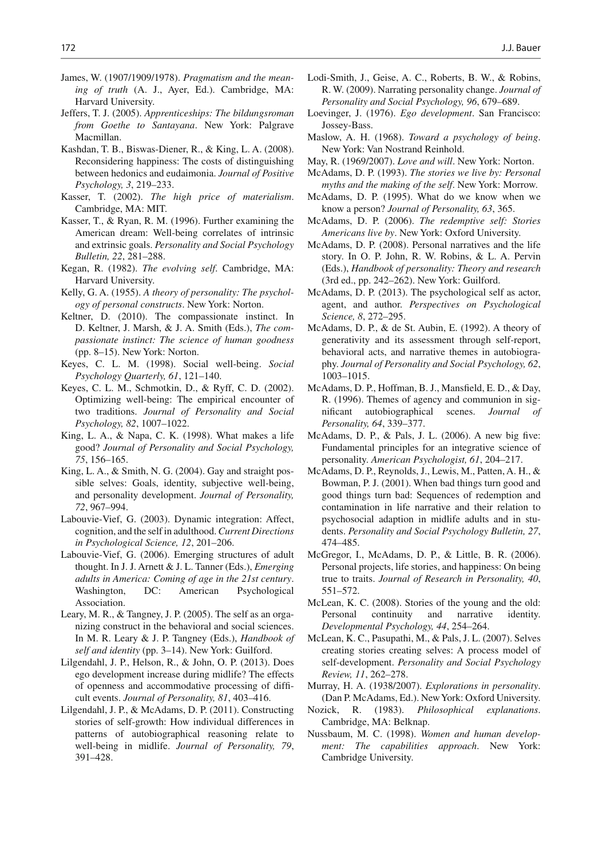- <span id="page-25-10"></span> James, W. (1907/1909/1978). *Pragmatism and the meaning of truth* (A. J., Ayer, Ed.). Cambridge, MA: Harvard University.
- <span id="page-25-31"></span> Jeffers, T. J. (2005). *Apprenticeships: The bildungsroman from Goethe to Santayana* . New York: Palgrave Macmillan.
- <span id="page-25-1"></span> Kashdan, T. B., Biswas-Diener, R., & King, L. A. (2008). Reconsidering happiness: The costs of distinguishing between hedonics and eudaimonia. *Journal of Positive Psychology, 3* , 219–233.
- <span id="page-25-15"></span> Kasser, T. (2002). *The high price of materialism* . Cambridge, MA: MIT.
- <span id="page-25-16"></span> Kasser, T., & Ryan, R. M. (1996). Further examining the American dream: Well-being correlates of intrinsic and extrinsic goals. *Personality and Social Psychology Bulletin, 22* , 281–288.
- <span id="page-25-7"></span>Kegan, R. (1982). *The evolving self*. Cambridge, MA: Harvard University.
- <span id="page-25-0"></span> Kelly, G. A. (1955). *A theory of personality: The psychology of personal constructs* . New York: Norton.
- <span id="page-25-6"></span> Keltner, D. (2010). The compassionate instinct. In D. Keltner, J. Marsh, & J. A. Smith (Eds.), *The compassionate instinct: The science of human goodness* (pp. 8–15). New York: Norton.
- <span id="page-25-11"></span> Keyes, C. L. M. (1998). Social well-being. *Social Psychology Quarterly, 61* , 121–140.
- <span id="page-25-2"></span> Keyes, C. L. M., Schmotkin, D., & Ryff, C. D. (2002). Optimizing well-being: The empirical encounter of two traditions. *Journal of Personality and Social Psychology, 82* , 1007–1022.
- <span id="page-25-4"></span> King, L. A., & Napa, C. K. (1998). What makes a life good? *Journal of Personality and Social Psychology, 75* , 156–165.
- <span id="page-25-24"></span> King, L. A., & Smith, N. G. (2004). Gay and straight possible selves: Goals, identity, subjective well-being, and personality development. *Journal of Personality, 72* , 967–994.
- <span id="page-25-17"></span> Labouvie-Vief, G. (2003). Dynamic integration: Affect, cognition, and the self in adulthood. *Current Directions in Psychological Science, 12* , 201–206.
- <span id="page-25-8"></span> Labouvie-Vief, G. (2006). Emerging structures of adult thought. In J. J. Arnett & J. L. Tanner (Eds.), *Emerging adults in America: Coming of age in the 21st century* . Washington, DC: American Psychological Association.
- <span id="page-25-25"></span> Leary, M. R., & Tangney, J. P. (2005). The self as an organizing construct in the behavioral and social sciences. In M. R. Leary & J. P. Tangney (Eds.), *Handbook of self and identity* (pp. 3–14). New York: Guilford.
- <span id="page-25-23"></span> Lilgendahl, J. P., Helson, R., & John, O. P. (2013). Does ego development increase during midlife? The effects of openness and accommodative processing of diffi cult events. *Journal of Personality, 81* , 403–416.
- <span id="page-25-21"></span> Lilgendahl, J. P., & McAdams, D. P. (2011). Constructing stories of self-growth: How individual differences in patterns of autobiographical reasoning relate to well- being in midlife. *Journal of Personality, 79* , 391–428.
- <span id="page-25-29"></span> Lodi-Smith, J., Geise, A. C., Roberts, B. W., & Robins, R. W. (2009). Narrating personality change. *Journal of Personality and Social Psychology, 96* , 679–689.
- <span id="page-25-9"></span>Loevinger, J. (1976). *Ego development*. San Francisco: Jossey-Bass.
- <span id="page-25-18"></span> Maslow, A. H. (1968). *Toward a psychology of being* . New York: Van Nostrand Reinhold.
- May, R. (1969/2007). *Love and will* . New York: Norton.
- <span id="page-25-14"></span> McAdams, D. P. (1993). *The stories we live by: Personal myths and the making of the self* . New York: Morrow.
- <span id="page-25-27"></span> McAdams, D. P. (1995). What do we know when we know a person? *Journal of Personality, 63* , 365.
- <span id="page-25-3"></span> McAdams, D. P. (2006). *The redemptive self: Stories Americans live by* . New York: Oxford University.
- <span id="page-25-26"></span> McAdams, D. P. (2008). Personal narratives and the life story. In O. P. John, R. W. Robins, & L. A. Pervin (Eds.), *Handbook of personality: Theory and research* (3rd ed., pp. 242–262). New York: Guilford.
- <span id="page-25-28"></span> McAdams, D. P. (2013). The psychological self as actor, agent, and author. *Perspectives on Psychological Science, 8* , 272–295.
- <span id="page-25-12"></span> McAdams, D. P., & de St. Aubin, E. (1992). A theory of generativity and its assessment through self-report, behavioral acts, and narrative themes in autobiography. *Journal of Personality and Social Psychology, 62* , 1003–1015.
- <span id="page-25-32"></span>McAdams, D. P., Hoffman, B. J., Mansfield, E. D., & Day, R. (1996). Themes of agency and communion in significant autobiographical scenes. *Journal of Personality, 64* , 339–377.
- <span id="page-25-22"></span>McAdams, D. P., & Pals, J. L. (2006). A new big five: Fundamental principles for an integrative science of personality. *American Psychologist, 61* , 204–217.
- <span id="page-25-30"></span> McAdams, D. P., Reynolds, J., Lewis, M., Patten, A. H., & Bowman, P. J. (2001). When bad things turn good and good things turn bad: Sequences of redemption and contamination in life narrative and their relation to psychosocial adaption in midlife adults and in students. *Personality and Social Psychology Bulletin, 27* , 474–485.
- <span id="page-25-34"></span> McGregor, I., McAdams, D. P., & Little, B. R. (2006). Personal projects, life stories, and happiness: On being true to traits. *Journal of Research in Personality, 40* , 551–572.
- <span id="page-25-33"></span> McLean, K. C. (2008). Stories of the young and the old: Personal continuity and narrative identity. *Developmental Psychology, 44* , 254–264.
- <span id="page-25-20"></span> McLean, K. C., Pasupathi, M., & Pals, J. L. (2007). Selves creating stories creating selves: A process model of self-development. *Personality and Social Psychology Review, 11* , 262–278.
- <span id="page-25-19"></span> Murray, H. A. (1938/2007). *Explorations in personality* . (Dan P. McAdams, Ed.). New York: Oxford University.
- <span id="page-25-5"></span> Nozick, R. (1983). *Philosophical explanations* . Cambridge, MA: Belknap.
- <span id="page-25-13"></span> Nussbaum, M. C. (1998). *Women and human development: The capabilities approach* . New York: Cambridge University.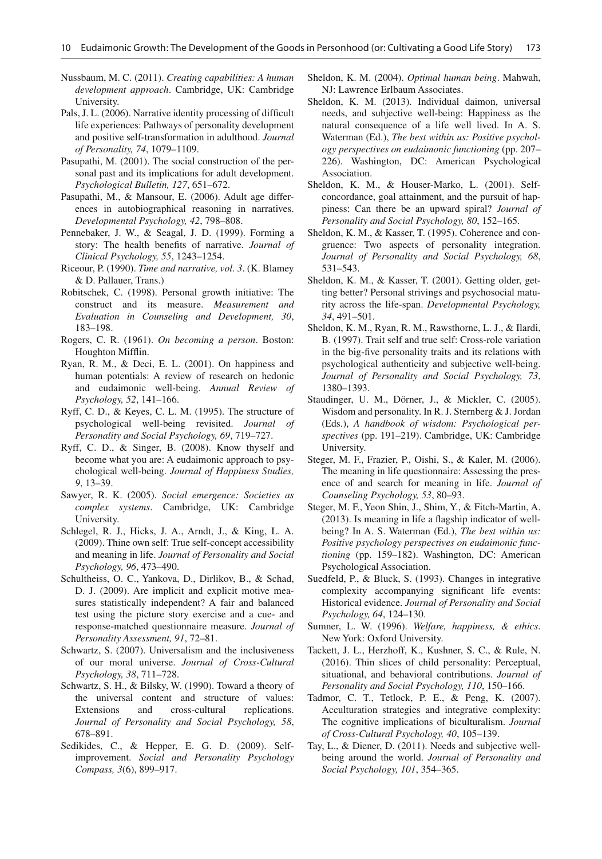- <span id="page-26-15"></span> Nussbaum, M. C. (2011). *Creating capabilities: A human development approach* . Cambridge, UK: Cambridge University.
- <span id="page-26-21"></span>Pals, J. L. (2006). Narrative identity processing of difficult life experiences: Pathways of personality development and positive self-transformation in adulthood. *Journal of Personality, 74* , 1079–1109.
- <span id="page-26-25"></span> Pasupathi, M. (2001). The social construction of the personal past and its implications for adult development. *Psychological Bulletin, 127* , 651–672.
- <span id="page-26-26"></span> Pasupathi, M., & Mansour, E. (2006). Adult age differences in autobiographical reasoning in narratives. *Developmental Psychology, 42* , 798–808.
- <span id="page-26-3"></span> Pennebaker, J. W., & Seagal, J. D. (1999). Forming a story: The health benefits of narrative. *Journal of Clinical Psychology, 55* , 1243–1254.
- <span id="page-26-24"></span> Riceour, P. (1990). *Time and narrative, vol. 3* . (K. Blamey & D. Pallauer, Trans.)
- <span id="page-26-19"></span> Robitschek, C. (1998). Personal growth initiative: The construct and its measure. *Measurement and*  Evaluation in Counseling and Development, 30, 183–198.
- <span id="page-26-16"></span>Rogers, C. R. (1961). *On becoming a person*. Boston: Houghton Mifflin.
- <span id="page-26-18"></span> Ryan, R. M., & Deci, E. L. (2001). On happiness and human potentials: A review of research on hedonic and eudaimonic well-being. *Annual Review of Psychology, 52* , 141–166.
- <span id="page-26-11"></span> Ryff, C. D., & Keyes, C. L. M. (1995). The structure of psychological well-being revisited. *Journal of Personality and Social Psychology, 69* , 719–727.
- <span id="page-26-6"></span> Ryff, C. D., & Singer, B. (2008). Know thyself and become what you are: A eudaimonic approach to psychological well-being. *Journal of Happiness Studies, 9* , 13–39.
- Sawyer, R. K. (2005). *Social emergence: Societies as complex systems* . Cambridge, UK: Cambridge University.
- <span id="page-26-27"></span> Schlegel, R. J., Hicks, J. A., Arndt, J., & King, L. A. (2009). Thine own self: True self-concept accessibility and meaning in life. *Journal of Personality and Social Psychology, 96* , 473–490.
- <span id="page-26-13"></span> Schultheiss, O. C., Yankova, D., Dirlikov, B., & Schad, D. J. (2009). Are implicit and explicit motive measures statistically independent? A fair and balanced test using the picture story exercise and a cue- and response-matched questionnaire measure. *Journal of Personality Assessment, 91* , 72–81.
- <span id="page-26-5"></span> Schwartz, S. (2007). Universalism and the inclusiveness of our moral universe. *Journal of Cross-Cultural Psychology, 38* , 711–728.
- <span id="page-26-4"></span> Schwartz, S. H., & Bilsky, W. (1990). Toward a theory of the universal content and structure of values: Extensions and cross-cultural replications. *Journal of Personality and Social Psychology, 58* , 678–891.
- <span id="page-26-23"></span> Sedikides, C., & Hepper, E. G. D. (2009). Selfimprovement. *Social and Personality Psychology Compass, 3* (6), 899–917.
- <span id="page-26-17"></span>Sheldon, K. M. (2004). *Optimal human being*. Mahwah, NJ: Lawrence Erlbaum Associates.
- <span id="page-26-0"></span> Sheldon, K. M. (2013). Individual daimon, universal needs, and subjective well-being: Happiness as the natural consequence of a life well lived. In A. S. Waterman (Ed.), *The best within us: Positive psychology perspectives on eudaimonic functioning* (pp. 207– 226). Washington, DC: American Psychological Association.
- <span id="page-26-20"></span> Sheldon, K. M., & Houser-Marko, L. (2001). Selfconcordance, goal attainment, and the pursuit of happiness: Can there be an upward spiral? *Journal of Personality and Social Psychology, 80* , 152–165.
- Sheldon, K. M., & Kasser, T. (1995). Coherence and congruence: Two aspects of personality integration. *Journal of Personality and Social Psychology, 68* , 531–543.
- <span id="page-26-28"></span> Sheldon, K. M., & Kasser, T. (2001). Getting older, getting better? Personal strivings and psychosocial maturity across the life-span. *Developmental Psychology, 34* , 491–501.
- <span id="page-26-29"></span><span id="page-26-12"></span> Sheldon, K. M., Ryan, R. M., Rawsthorne, L. J., & Ilardi, B. (1997). Trait self and true self: Cross-role variation in the big-five personality traits and its relations with psychological authenticity and subjective well-being. *Journal of Personality and Social Psychology, 73* , 1380–1393.
- <span id="page-26-10"></span> Staudinger, U. M., Dörner, J., & Mickler, C. (2005). Wisdom and personality. In R. J. Sternberg & J. Jordan (Eds.), *A handbook of wisdom: Psychological perspectives* (pp. 191–219). Cambridge, UK: Cambridge University.
- <span id="page-26-7"></span> Steger, M. F., Frazier, P., Oishi, S., & Kaler, M. (2006). The meaning in life questionnaire: Assessing the presence of and search for meaning in life. *Journal of Counseling Psychology, 53* , 80–93.
- <span id="page-26-1"></span> Steger, M. F., Yeon Shin, J., Shim, Y., & Fitch-Martin, A. (2013). Is meaning in life a flagship indicator of wellbeing? In A. S. Waterman (Ed.), *The best within us: Positive psychology perspectives on eudaimonic functioning* (pp. 159–182). Washington, DC: American Psychological Association.
- <span id="page-26-8"></span> Suedfeld, P., & Bluck, S. (1993). Changes in integrative complexity accompanying significant life events: Historical evidence. *Journal of Personality and Social Psychology, 64* , 124–130.
- <span id="page-26-2"></span> Sumner, L. W. (1996). *Welfare, happiness, & ethics* . New York: Oxford University.
- <span id="page-26-22"></span> Tackett, J. L., Herzhoff, K., Kushner, S. C., & Rule, N. (2016). Thin slices of child personality: Perceptual, situational, and behavioral contributions. *Journal of*  Personality and Social Psychology, 110, 150-166.
- <span id="page-26-9"></span> Tadmor, C. T., Tetlock, P. E., & Peng, K. (2007). Acculturation strategies and integrative complexity: The cognitive implications of biculturalism. *Journal of Cross-Cultural Psychology, 40* , 105–139.
- <span id="page-26-14"></span> Tay, L., & Diener, D. (2011). Needs and subjective wellbeing around the world. *Journal of Personality and Social Psychology, 101* , 354–365.